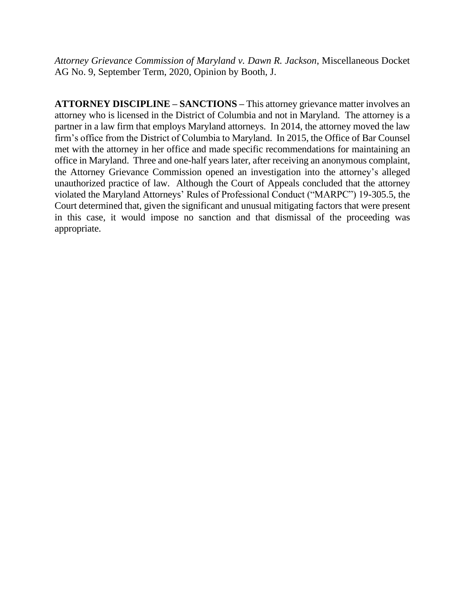*Attorney Grievance Commission of Maryland v. Dawn R. Jackson*, Miscellaneous Docket AG No. 9, September Term, 2020, Opinion by Booth, J.

**ATTORNEY DISCIPLINE – SANCTIONS –** This attorney grievance matter involves an attorney who is licensed in the District of Columbia and not in Maryland. The attorney is a partner in a law firm that employs Maryland attorneys. In 2014, the attorney moved the law firm's office from the District of Columbia to Maryland. In 2015, the Office of Bar Counsel met with the attorney in her office and made specific recommendations for maintaining an office in Maryland. Three and one-half years later, after receiving an anonymous complaint, the Attorney Grievance Commission opened an investigation into the attorney's alleged unauthorized practice of law. Although the Court of Appeals concluded that the attorney violated the Maryland Attorneys' Rules of Professional Conduct ("MARPC") 19-305.5, the Court determined that, given the significant and unusual mitigating factors that were present in this case, it would impose no sanction and that dismissal of the proceeding was appropriate.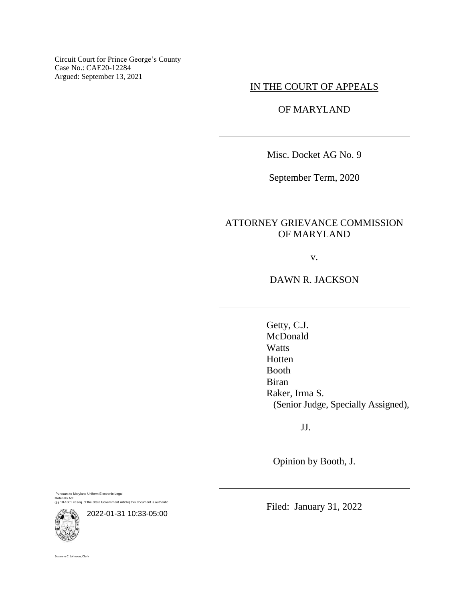Circuit Court for Prince George's County Case No.: CAE20-12284 Argued: September 13, 2021

# IN THE COURT OF APPEALS

# OF MARYLAND

Misc. Docket AG No. 9

September Term, 2020

# ATTORNEY GRIEVANCE COMMISSION OF MARYLAND

v.

DAWN R. JACKSON

Getty, C.J. McDonald **Watts** Hotten Booth Biran Raker, Irma S. (Senior Judge, Specially Assigned),

JJ.

Opinion by Booth, J.

Pursuant to Maryland Uniform Electronic Legal Materials Act (§§ 10-1601 et seq. of the State Government Article) this document is authentic.



Filed: January 31, 2022

Suzanne C. Johnson, Clerk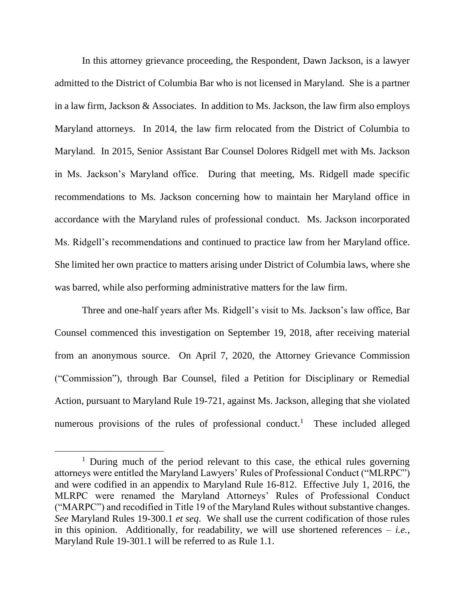In this attorney grievance proceeding, the Respondent, Dawn Jackson, is a lawyer admitted to the District of Columbia Bar who is not licensed in Maryland. She is a partner in a law firm, Jackson & Associates. In addition to Ms. Jackson, the law firm also employs Maryland attorneys. In 2014, the law firm relocated from the District of Columbia to Maryland. In 2015, Senior Assistant Bar Counsel Dolores Ridgell met with Ms. Jackson in Ms. Jackson's Maryland office. During that meeting, Ms. Ridgell made specific recommendations to Ms. Jackson concerning how to maintain her Maryland office in accordance with the Maryland rules of professional conduct. Ms. Jackson incorporated Ms. Ridgell's recommendations and continued to practice law from her Maryland office. She limited her own practice to matters arising under District of Columbia laws, where she was barred, while also performing administrative matters for the law firm.

Three and one-half years after Ms. Ridgell's visit to Ms. Jackson's law office, Bar Counsel commenced this investigation on September 19, 2018, after receiving material from an anonymous source. On April 7, 2020, the Attorney Grievance Commission ("Commission"), through Bar Counsel, filed a Petition for Disciplinary or Remedial Action, pursuant to Maryland Rule 19-721, against Ms. Jackson, alleging that she violated numerous provisions of the rules of professional conduct.<sup>1</sup> These included alleged

<sup>&</sup>lt;sup>1</sup> During much of the period relevant to this case, the ethical rules governing attorneys were entitled the Maryland Lawyers' Rules of Professional Conduct ("MLRPC") and were codified in an appendix to Maryland Rule 16-812. Effective July 1, 2016, the MLRPC were renamed the Maryland Attorneys' Rules of Professional Conduct ("MARPC") and recodified in Title 19 of the Maryland Rules without substantive changes. *See* Maryland Rules 19-300.1 *et seq*. We shall use the current codification of those rules in this opinion. Additionally, for readability, we will use shortened references  $-$  *i.e.*, Maryland Rule 19-301.1 will be referred to as Rule 1.1.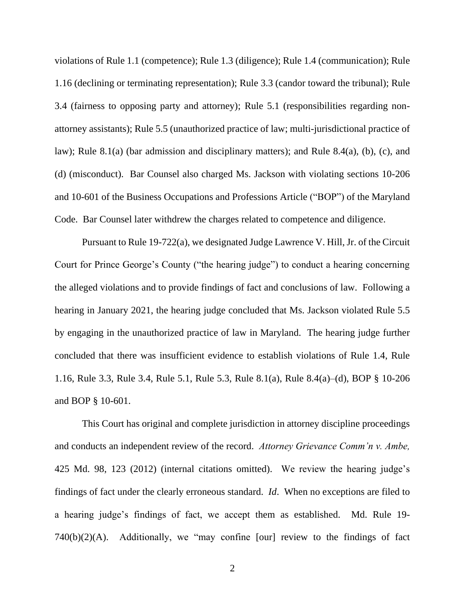violations of Rule 1.1 (competence); Rule 1.3 (diligence); Rule 1.4 (communication); Rule 1.16 (declining or terminating representation); Rule 3.3 (candor toward the tribunal); Rule 3.4 (fairness to opposing party and attorney); Rule 5.1 (responsibilities regarding nonattorney assistants); Rule 5.5 (unauthorized practice of law; multi-jurisdictional practice of law); Rule 8.1(a) (bar admission and disciplinary matters); and Rule 8.4(a), (b), (c), and (d) (misconduct). Bar Counsel also charged Ms. Jackson with violating sections 10-206 and 10-601 of the Business Occupations and Professions Article ("BOP") of the Maryland Code. Bar Counsel later withdrew the charges related to competence and diligence.

Pursuant to Rule 19-722(a), we designated Judge Lawrence V. Hill, Jr. of the Circuit Court for Prince George's County ("the hearing judge") to conduct a hearing concerning the alleged violations and to provide findings of fact and conclusions of law. Following a hearing in January 2021, the hearing judge concluded that Ms. Jackson violated Rule 5.5 by engaging in the unauthorized practice of law in Maryland. The hearing judge further concluded that there was insufficient evidence to establish violations of Rule 1.4, Rule 1.16, Rule 3.3, Rule 3.4, Rule 5.1, Rule 5.3, Rule 8.1(a), Rule 8.4(a)–(d), BOP § 10-206 and BOP § 10-601.

This Court has original and complete jurisdiction in attorney discipline proceedings and conducts an independent review of the record. *Attorney Grievance Comm'n v. Ambe,*  425 Md. 98, 123 (2012) (internal citations omitted). We review the hearing judge's findings of fact under the clearly erroneous standard. *Id*. When no exceptions are filed to a hearing judge's findings of fact, we accept them as established. Md. Rule 19- 740(b)(2)(A). Additionally, we "may confine [our] review to the findings of fact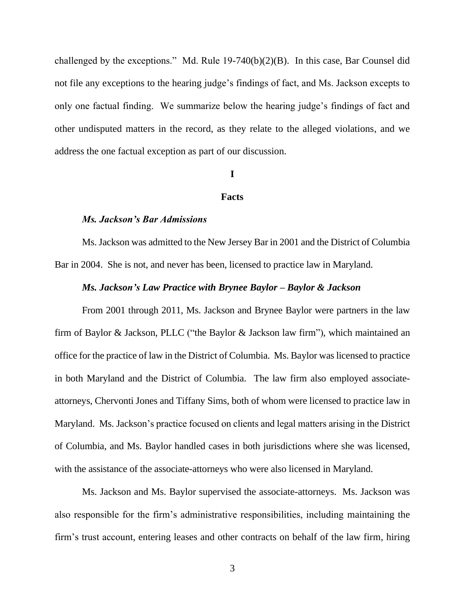challenged by the exceptions." Md. Rule 19-740(b)(2)(B). In this case, Bar Counsel did not file any exceptions to the hearing judge's findings of fact, and Ms. Jackson excepts to only one factual finding. We summarize below the hearing judge's findings of fact and other undisputed matters in the record, as they relate to the alleged violations, and we address the one factual exception as part of our discussion.

### **I**

#### **Facts**

### *Ms. Jackson's Bar Admissions*

Ms. Jackson was admitted to the New Jersey Bar in 2001 and the District of Columbia Bar in 2004. She is not, and never has been, licensed to practice law in Maryland.

### *Ms. Jackson's Law Practice with Brynee Baylor – Baylor & Jackson*

From 2001 through 2011, Ms. Jackson and Brynee Baylor were partners in the law firm of Baylor & Jackson, PLLC ("the Baylor & Jackson law firm"), which maintained an office for the practice of law in the District of Columbia. Ms. Baylor was licensed to practice in both Maryland and the District of Columbia. The law firm also employed associateattorneys, Chervonti Jones and Tiffany Sims, both of whom were licensed to practice law in Maryland. Ms. Jackson's practice focused on clients and legal matters arising in the District of Columbia, and Ms. Baylor handled cases in both jurisdictions where she was licensed, with the assistance of the associate-attorneys who were also licensed in Maryland.

Ms. Jackson and Ms. Baylor supervised the associate-attorneys. Ms. Jackson was also responsible for the firm's administrative responsibilities, including maintaining the firm's trust account, entering leases and other contracts on behalf of the law firm, hiring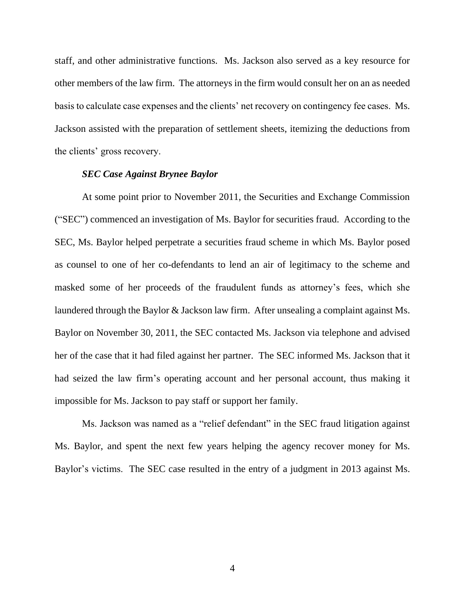staff, and other administrative functions. Ms. Jackson also served as a key resource for other members of the law firm. The attorneys in the firm would consult her on an as needed basis to calculate case expenses and the clients' net recovery on contingency fee cases. Ms. Jackson assisted with the preparation of settlement sheets, itemizing the deductions from the clients' gross recovery.

### *SEC Case Against Brynee Baylor*

At some point prior to November 2011, the Securities and Exchange Commission ("SEC") commenced an investigation of Ms. Baylor for securities fraud. According to the SEC, Ms. Baylor helped perpetrate a securities fraud scheme in which Ms. Baylor posed as counsel to one of her co-defendants to lend an air of legitimacy to the scheme and masked some of her proceeds of the fraudulent funds as attorney's fees, which she laundered through the Baylor & Jackson law firm. After unsealing a complaint against Ms. Baylor on November 30, 2011, the SEC contacted Ms. Jackson via telephone and advised her of the case that it had filed against her partner. The SEC informed Ms. Jackson that it had seized the law firm's operating account and her personal account, thus making it impossible for Ms. Jackson to pay staff or support her family.

Ms. Jackson was named as a "relief defendant" in the SEC fraud litigation against Ms. Baylor, and spent the next few years helping the agency recover money for Ms. Baylor's victims. The SEC case resulted in the entry of a judgment in 2013 against Ms.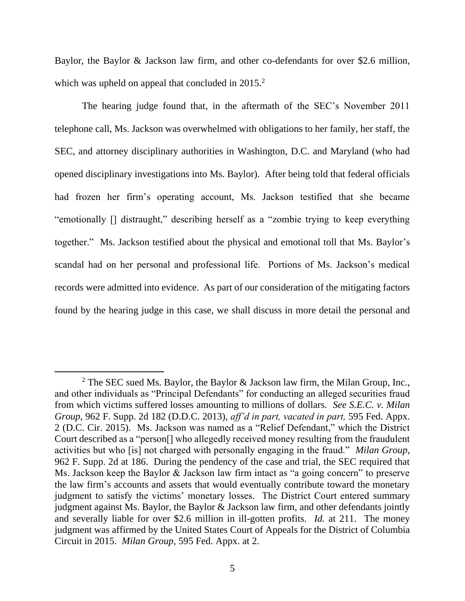Baylor, the Baylor & Jackson law firm, and other co-defendants for over \$2.6 million, which was upheld on appeal that concluded in 2015.<sup>2</sup>

The hearing judge found that, in the aftermath of the SEC's November 2011 telephone call, Ms. Jackson was overwhelmed with obligations to her family, her staff, the SEC, and attorney disciplinary authorities in Washington, D.C. and Maryland (who had opened disciplinary investigations into Ms. Baylor). After being told that federal officials had frozen her firm's operating account, Ms. Jackson testified that she became "emotionally [] distraught," describing herself as a "zombie trying to keep everything together." Ms. Jackson testified about the physical and emotional toll that Ms. Baylor's scandal had on her personal and professional life. Portions of Ms. Jackson's medical records were admitted into evidence. As part of our consideration of the mitigating factors found by the hearing judge in this case, we shall discuss in more detail the personal and

<sup>&</sup>lt;sup>2</sup> The SEC sued Ms. Baylor, the Baylor  $\&$  Jackson law firm, the Milan Group, Inc., and other individuals as "Principal Defendants" for conducting an alleged securities fraud from which victims suffered losses amounting to millions of dollars. *See S.E.C. v. Milan Group*, 962 F. Supp. 2d 182 (D.D.C. 2013), *aff'd in part, vacated in part,* 595 Fed. Appx. 2 (D.C. Cir. 2015). Ms. Jackson was named as a "Relief Defendant," which the District Court described as a "person[] who allegedly received money resulting from the fraudulent activities but who [is] not charged with personally engaging in the fraud." *Milan Group*, 962 F. Supp. 2d at 186. During the pendency of the case and trial, the SEC required that Ms. Jackson keep the Baylor & Jackson law firm intact as "a going concern" to preserve the law firm's accounts and assets that would eventually contribute toward the monetary judgment to satisfy the victims' monetary losses. The District Court entered summary judgment against Ms. Baylor, the Baylor & Jackson law firm, and other defendants jointly and severally liable for over \$2.6 million in ill-gotten profits. *Id.* at 211. The money judgment was affirmed by the United States Court of Appeals for the District of Columbia Circuit in 2015. *Milan Group*, 595 Fed. Appx. at 2.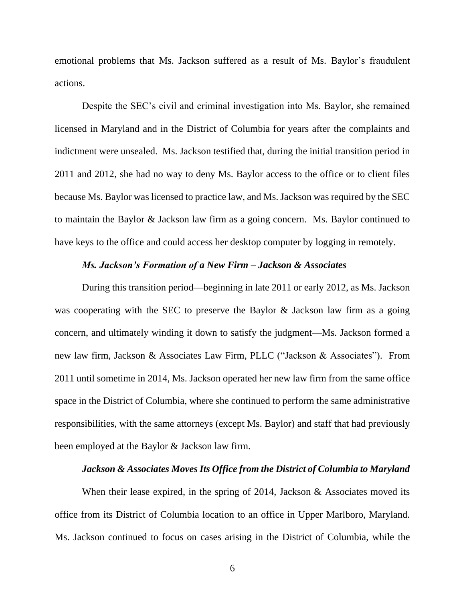emotional problems that Ms. Jackson suffered as a result of Ms. Baylor's fraudulent actions.

Despite the SEC's civil and criminal investigation into Ms. Baylor, she remained licensed in Maryland and in the District of Columbia for years after the complaints and indictment were unsealed. Ms. Jackson testified that, during the initial transition period in 2011 and 2012, she had no way to deny Ms. Baylor access to the office or to client files because Ms. Baylor was licensed to practice law, and Ms. Jackson was required by the SEC to maintain the Baylor & Jackson law firm as a going concern. Ms. Baylor continued to have keys to the office and could access her desktop computer by logging in remotely.

### *Ms. Jackson's Formation of a New Firm – Jackson & Associates*

During this transition period—beginning in late 2011 or early 2012, as Ms. Jackson was cooperating with the SEC to preserve the Baylor & Jackson law firm as a going concern, and ultimately winding it down to satisfy the judgment—Ms. Jackson formed a new law firm, Jackson & Associates Law Firm, PLLC ("Jackson & Associates"). From 2011 until sometime in 2014, Ms. Jackson operated her new law firm from the same office space in the District of Columbia, where she continued to perform the same administrative responsibilities, with the same attorneys (except Ms. Baylor) and staff that had previously been employed at the Baylor & Jackson law firm.

### *Jackson & Associates Moves Its Office from the District of Columbia to Maryland*

When their lease expired, in the spring of 2014, Jackson  $\&$  Associates moved its office from its District of Columbia location to an office in Upper Marlboro, Maryland. Ms. Jackson continued to focus on cases arising in the District of Columbia, while the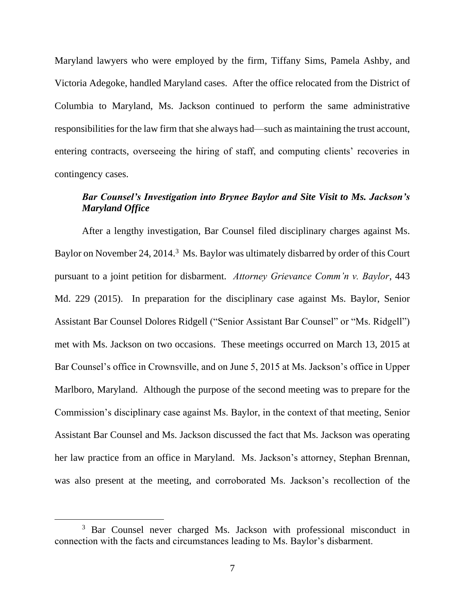Maryland lawyers who were employed by the firm, Tiffany Sims, Pamela Ashby, and Victoria Adegoke, handled Maryland cases. After the office relocated from the District of Columbia to Maryland, Ms. Jackson continued to perform the same administrative responsibilities for the law firm that she always had—such as maintaining the trust account, entering contracts, overseeing the hiring of staff, and computing clients' recoveries in contingency cases.

# *Bar Counsel's Investigation into Brynee Baylor and Site Visit to Ms. Jackson's Maryland Office*

After a lengthy investigation, Bar Counsel filed disciplinary charges against Ms. Baylor on November 24, 2014.<sup>3</sup> Ms. Baylor was ultimately disbarred by order of this Court pursuant to a joint petition for disbarment. *Attorney Grievance Comm'n v. Baylor*, 443 Md. 229 (2015). In preparation for the disciplinary case against Ms. Baylor, Senior Assistant Bar Counsel Dolores Ridgell ("Senior Assistant Bar Counsel" or "Ms. Ridgell") met with Ms. Jackson on two occasions. These meetings occurred on March 13, 2015 at Bar Counsel's office in Crownsville, and on June 5, 2015 at Ms. Jackson's office in Upper Marlboro, Maryland. Although the purpose of the second meeting was to prepare for the Commission's disciplinary case against Ms. Baylor, in the context of that meeting, Senior Assistant Bar Counsel and Ms. Jackson discussed the fact that Ms. Jackson was operating her law practice from an office in Maryland. Ms. Jackson's attorney, Stephan Brennan, was also present at the meeting, and corroborated Ms. Jackson's recollection of the

<sup>&</sup>lt;sup>3</sup> Bar Counsel never charged Ms. Jackson with professional misconduct in connection with the facts and circumstances leading to Ms. Baylor's disbarment.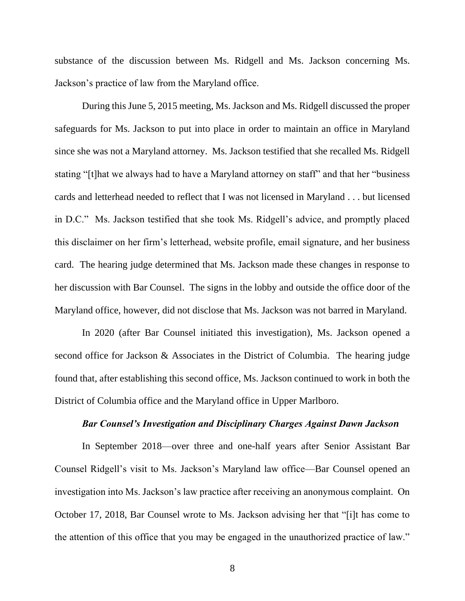substance of the discussion between Ms. Ridgell and Ms. Jackson concerning Ms. Jackson's practice of law from the Maryland office.

During this June 5, 2015 meeting, Ms. Jackson and Ms. Ridgell discussed the proper safeguards for Ms. Jackson to put into place in order to maintain an office in Maryland since she was not a Maryland attorney. Ms. Jackson testified that she recalled Ms. Ridgell stating "[t]hat we always had to have a Maryland attorney on staff" and that her "business cards and letterhead needed to reflect that I was not licensed in Maryland . . . but licensed in D.C." Ms. Jackson testified that she took Ms. Ridgell's advice, and promptly placed this disclaimer on her firm's letterhead, website profile, email signature, and her business card. The hearing judge determined that Ms. Jackson made these changes in response to her discussion with Bar Counsel. The signs in the lobby and outside the office door of the Maryland office, however, did not disclose that Ms. Jackson was not barred in Maryland.

In 2020 (after Bar Counsel initiated this investigation), Ms. Jackson opened a second office for Jackson & Associates in the District of Columbia. The hearing judge found that, after establishing this second office, Ms. Jackson continued to work in both the District of Columbia office and the Maryland office in Upper Marlboro.

### *Bar Counsel's Investigation and Disciplinary Charges Against Dawn Jackson*

In September 2018—over three and one-half years after Senior Assistant Bar Counsel Ridgell's visit to Ms. Jackson's Maryland law office—Bar Counsel opened an investigation into Ms. Jackson's law practice after receiving an anonymous complaint. On October 17, 2018, Bar Counsel wrote to Ms. Jackson advising her that "[i]t has come to the attention of this office that you may be engaged in the unauthorized practice of law."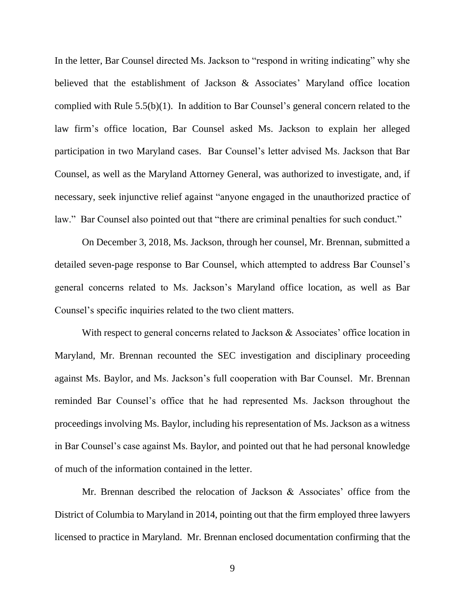In the letter, Bar Counsel directed Ms. Jackson to "respond in writing indicating" why she believed that the establishment of Jackson & Associates' Maryland office location complied with Rule 5.5(b)(1). In addition to Bar Counsel's general concern related to the law firm's office location, Bar Counsel asked Ms. Jackson to explain her alleged participation in two Maryland cases. Bar Counsel's letter advised Ms. Jackson that Bar Counsel, as well as the Maryland Attorney General, was authorized to investigate, and, if necessary, seek injunctive relief against "anyone engaged in the unauthorized practice of law." Bar Counsel also pointed out that "there are criminal penalties for such conduct."

On December 3, 2018, Ms. Jackson, through her counsel, Mr. Brennan, submitted a detailed seven-page response to Bar Counsel, which attempted to address Bar Counsel's general concerns related to Ms. Jackson's Maryland office location, as well as Bar Counsel's specific inquiries related to the two client matters.

With respect to general concerns related to Jackson & Associates' office location in Maryland, Mr. Brennan recounted the SEC investigation and disciplinary proceeding against Ms. Baylor, and Ms. Jackson's full cooperation with Bar Counsel. Mr. Brennan reminded Bar Counsel's office that he had represented Ms. Jackson throughout the proceedings involving Ms. Baylor, including his representation of Ms. Jackson as a witness in Bar Counsel's case against Ms. Baylor, and pointed out that he had personal knowledge of much of the information contained in the letter.

Mr. Brennan described the relocation of Jackson & Associates' office from the District of Columbia to Maryland in 2014, pointing out that the firm employed three lawyers licensed to practice in Maryland. Mr. Brennan enclosed documentation confirming that the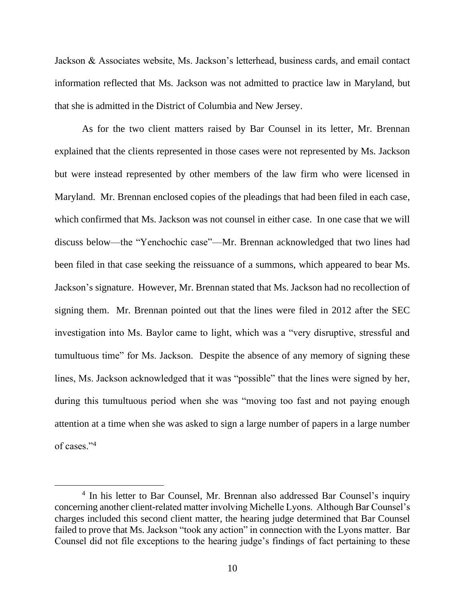Jackson & Associates website, Ms. Jackson's letterhead, business cards, and email contact information reflected that Ms. Jackson was not admitted to practice law in Maryland, but that she is admitted in the District of Columbia and New Jersey.

As for the two client matters raised by Bar Counsel in its letter, Mr. Brennan explained that the clients represented in those cases were not represented by Ms. Jackson but were instead represented by other members of the law firm who were licensed in Maryland. Mr. Brennan enclosed copies of the pleadings that had been filed in each case, which confirmed that Ms. Jackson was not counsel in either case. In one case that we will discuss below—the "Yenchochic case"—Mr. Brennan acknowledged that two lines had been filed in that case seeking the reissuance of a summons, which appeared to bear Ms. Jackson's signature. However, Mr. Brennan stated that Ms. Jackson had no recollection of signing them. Mr. Brennan pointed out that the lines were filed in 2012 after the SEC investigation into Ms. Baylor came to light, which was a "very disruptive, stressful and tumultuous time" for Ms. Jackson. Despite the absence of any memory of signing these lines, Ms. Jackson acknowledged that it was "possible" that the lines were signed by her, during this tumultuous period when she was "moving too fast and not paying enough attention at a time when she was asked to sign a large number of papers in a large number of cases."<sup>4</sup>

<sup>&</sup>lt;sup>4</sup> In his letter to Bar Counsel, Mr. Brennan also addressed Bar Counsel's inquiry concerning another client-related matter involving Michelle Lyons. Although Bar Counsel's charges included this second client matter, the hearing judge determined that Bar Counsel failed to prove that Ms. Jackson "took any action" in connection with the Lyons matter. Bar Counsel did not file exceptions to the hearing judge's findings of fact pertaining to these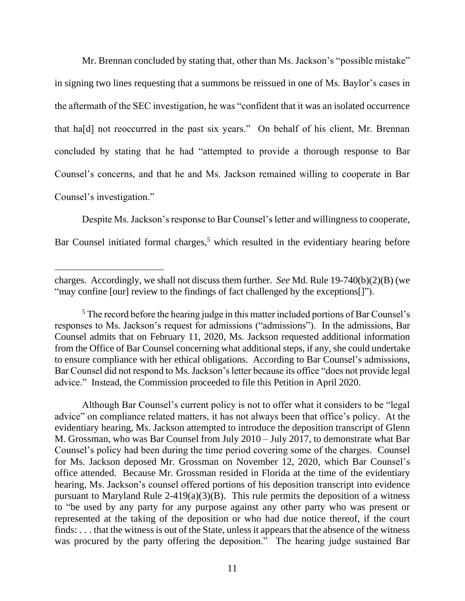Mr. Brennan concluded by stating that, other than Ms. Jackson's "possible mistake" in signing two lines requesting that a summons be reissued in one of Ms. Baylor's cases in the aftermath of the SEC investigation, he was "confident that it was an isolated occurrence that ha[d] not reoccurred in the past six years." On behalf of his client, Mr. Brennan concluded by stating that he had "attempted to provide a thorough response to Bar Counsel's concerns, and that he and Ms. Jackson remained willing to cooperate in Bar Counsel's investigation."

Despite Ms. Jackson's response to Bar Counsel's letter and willingness to cooperate, Bar Counsel initiated formal charges,<sup>5</sup> which resulted in the evidentiary hearing before

Although Bar Counsel's current policy is not to offer what it considers to be "legal advice" on compliance related matters, it has not always been that office's policy. At the evidentiary hearing, Ms. Jackson attempted to introduce the deposition transcript of Glenn M. Grossman, who was Bar Counsel from July 2010 – July 2017, to demonstrate what Bar Counsel's policy had been during the time period covering some of the charges. Counsel for Ms. Jackson deposed Mr. Grossman on November 12, 2020, which Bar Counsel's office attended. Because Mr. Grossman resided in Florida at the time of the evidentiary hearing, Ms. Jackson's counsel offered portions of his deposition transcript into evidence pursuant to Maryland Rule 2-419(a)(3)(B). This rule permits the deposition of a witness to "be used by any party for any purpose against any other party who was present or represented at the taking of the deposition or who had due notice thereof, if the court finds: ... that the witness is out of the State, unless it appears that the absence of the witness was procured by the party offering the deposition." The hearing judge sustained Bar

charges. Accordingly, we shall not discuss them further. *See* Md. Rule 19-740(b)(2)(B) (we "may confine [our] review to the findings of fact challenged by the exceptions[]").

<sup>&</sup>lt;sup>5</sup> The record before the hearing judge in this matter included portions of Bar Counsel's responses to Ms. Jackson's request for admissions ("admissions"). In the admissions, Bar Counsel admits that on February 11, 2020, Ms. Jackson requested additional information from the Office of Bar Counsel concerning what additional steps, if any, she could undertake to ensure compliance with her ethical obligations. According to Bar Counsel's admissions, Bar Counsel did not respond to Ms. Jackson's letter because its office "does not provide legal advice." Instead, the Commission proceeded to file this Petition in April 2020.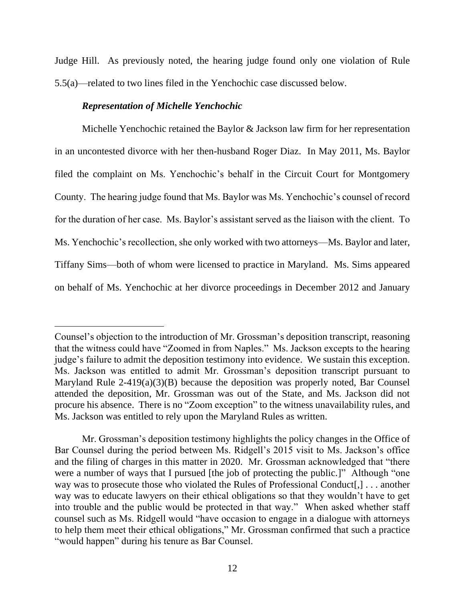Judge Hill. As previously noted, the hearing judge found only one violation of Rule 5.5(a)—related to two lines filed in the Yenchochic case discussed below.

# *Representation of Michelle Yenchochic*

Michelle Yenchochic retained the Baylor & Jackson law firm for her representation in an uncontested divorce with her then-husband Roger Diaz. In May 2011, Ms. Baylor filed the complaint on Ms. Yenchochic's behalf in the Circuit Court for Montgomery County. The hearing judge found that Ms. Baylor was Ms. Yenchochic's counsel of record for the duration of her case. Ms. Baylor's assistant served as the liaison with the client. To Ms. Yenchochic's recollection, she only worked with two attorneys—Ms. Baylor and later, Tiffany Sims—both of whom were licensed to practice in Maryland. Ms. Sims appeared on behalf of Ms. Yenchochic at her divorce proceedings in December 2012 and January

Counsel's objection to the introduction of Mr. Grossman's deposition transcript, reasoning that the witness could have "Zoomed in from Naples." Ms. Jackson excepts to the hearing judge's failure to admit the deposition testimony into evidence. We sustain this exception. Ms. Jackson was entitled to admit Mr. Grossman's deposition transcript pursuant to Maryland Rule 2-419(a)(3)(B) because the deposition was properly noted, Bar Counsel attended the deposition, Mr. Grossman was out of the State, and Ms. Jackson did not procure his absence. There is no "Zoom exception" to the witness unavailability rules, and Ms. Jackson was entitled to rely upon the Maryland Rules as written.

Mr. Grossman's deposition testimony highlights the policy changes in the Office of Bar Counsel during the period between Ms. Ridgell's 2015 visit to Ms. Jackson's office and the filing of charges in this matter in 2020. Mr. Grossman acknowledged that "there were a number of ways that I pursued [the job of protecting the public.]" Although "one way was to prosecute those who violated the Rules of Professional Conduct[,] . . . another way was to educate lawyers on their ethical obligations so that they wouldn't have to get into trouble and the public would be protected in that way." When asked whether staff counsel such as Ms. Ridgell would "have occasion to engage in a dialogue with attorneys to help them meet their ethical obligations," Mr. Grossman confirmed that such a practice "would happen" during his tenure as Bar Counsel.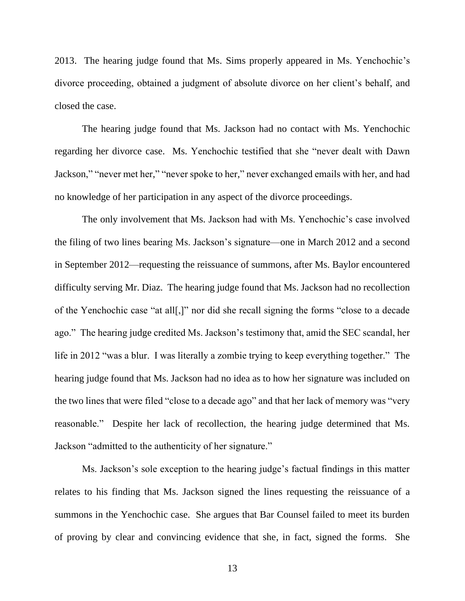2013. The hearing judge found that Ms. Sims properly appeared in Ms. Yenchochic's divorce proceeding, obtained a judgment of absolute divorce on her client's behalf, and closed the case.

The hearing judge found that Ms. Jackson had no contact with Ms. Yenchochic regarding her divorce case. Ms. Yenchochic testified that she "never dealt with Dawn Jackson," "never met her," "never spoke to her," never exchanged emails with her, and had no knowledge of her participation in any aspect of the divorce proceedings.

The only involvement that Ms. Jackson had with Ms. Yenchochic's case involved the filing of two lines bearing Ms. Jackson's signature—one in March 2012 and a second in September 2012—requesting the reissuance of summons, after Ms. Baylor encountered difficulty serving Mr. Diaz. The hearing judge found that Ms. Jackson had no recollection of the Yenchochic case "at all[,]" nor did she recall signing the forms "close to a decade ago." The hearing judge credited Ms. Jackson's testimony that, amid the SEC scandal, her life in 2012 "was a blur. I was literally a zombie trying to keep everything together." The hearing judge found that Ms. Jackson had no idea as to how her signature was included on the two lines that were filed "close to a decade ago" and that her lack of memory was "very reasonable." Despite her lack of recollection, the hearing judge determined that Ms. Jackson "admitted to the authenticity of her signature."

Ms. Jackson's sole exception to the hearing judge's factual findings in this matter relates to his finding that Ms. Jackson signed the lines requesting the reissuance of a summons in the Yenchochic case. She argues that Bar Counsel failed to meet its burden of proving by clear and convincing evidence that she, in fact, signed the forms. She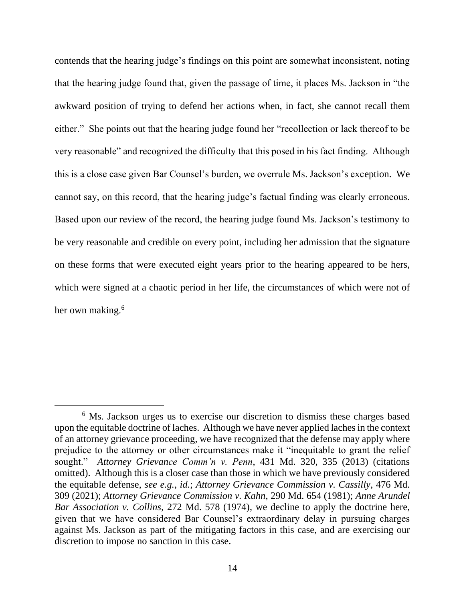contends that the hearing judge's findings on this point are somewhat inconsistent, noting that the hearing judge found that, given the passage of time, it places Ms. Jackson in "the awkward position of trying to defend her actions when, in fact, she cannot recall them either." She points out that the hearing judge found her "recollection or lack thereof to be very reasonable" and recognized the difficulty that this posed in his fact finding. Although this is a close case given Bar Counsel's burden, we overrule Ms. Jackson's exception. We cannot say, on this record, that the hearing judge's factual finding was clearly erroneous. Based upon our review of the record, the hearing judge found Ms. Jackson's testimony to be very reasonable and credible on every point, including her admission that the signature on these forms that were executed eight years prior to the hearing appeared to be hers, which were signed at a chaotic period in her life, the circumstances of which were not of her own making.<sup>6</sup>

<sup>&</sup>lt;sup>6</sup> Ms. Jackson urges us to exercise our discretion to dismiss these charges based upon the equitable doctrine of laches. Although we have never applied laches in the context of an attorney grievance proceeding, we have recognized that the defense may apply where prejudice to the attorney or other circumstances make it "inequitable to grant the relief sought." *Attorney Grievance Comm'n v. Penn*, 431 Md. 320, 335 (2013) (citations omitted). Although this is a closer case than those in which we have previously considered the equitable defense, *see e.g.*, *id.*; *Attorney Grievance Commission v. Cassilly*, 476 Md. 309 (2021); *Attorney Grievance Commission v. Kahn*, 290 Md. 654 (1981); *Anne Arundel Bar Association v. Collins*, 272 Md. 578 (1974), we decline to apply the doctrine here, given that we have considered Bar Counsel's extraordinary delay in pursuing charges against Ms. Jackson as part of the mitigating factors in this case, and are exercising our discretion to impose no sanction in this case.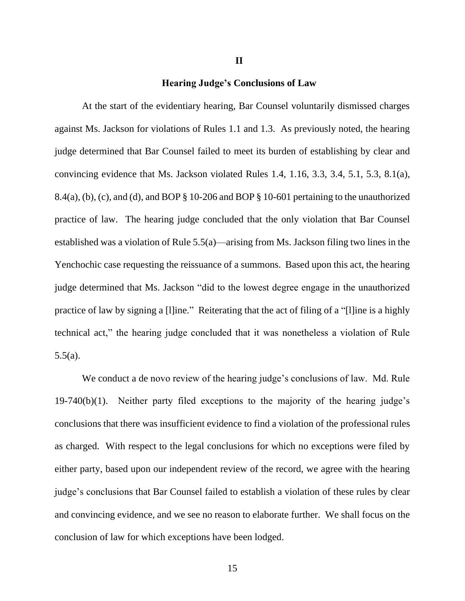# **Hearing Judge's Conclusions of Law**

At the start of the evidentiary hearing, Bar Counsel voluntarily dismissed charges against Ms. Jackson for violations of Rules 1.1 and 1.3. As previously noted, the hearing judge determined that Bar Counsel failed to meet its burden of establishing by clear and convincing evidence that Ms. Jackson violated Rules 1.4, 1.16, 3.3, 3.4, 5.1, 5.3, 8.1(a),  $8.4(a)$ , (b), (c), and (d), and BOP  $\S 10$ -206 and BOP  $\S 10$ -601 pertaining to the unauthorized practice of law. The hearing judge concluded that the only violation that Bar Counsel established was a violation of Rule 5.5(a)—arising from Ms. Jackson filing two lines in the Yenchochic case requesting the reissuance of a summons. Based upon this act, the hearing judge determined that Ms. Jackson "did to the lowest degree engage in the unauthorized practice of law by signing a [l]ine." Reiterating that the act of filing of a "[l]ine is a highly technical act," the hearing judge concluded that it was nonetheless a violation of Rule 5.5(a).

We conduct a de novo review of the hearing judge's conclusions of law. Md. Rule 19-740(b)(1). Neither party filed exceptions to the majority of the hearing judge's conclusions that there was insufficient evidence to find a violation of the professional rules as charged. With respect to the legal conclusions for which no exceptions were filed by either party, based upon our independent review of the record, we agree with the hearing judge's conclusions that Bar Counsel failed to establish a violation of these rules by clear and convincing evidence, and we see no reason to elaborate further. We shall focus on the conclusion of law for which exceptions have been lodged.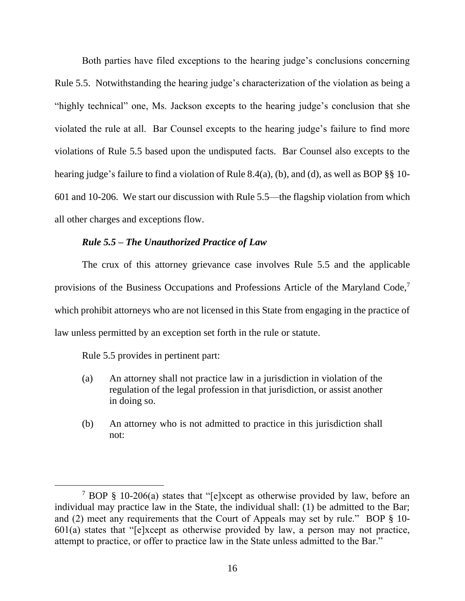Both parties have filed exceptions to the hearing judge's conclusions concerning Rule 5.5. Notwithstanding the hearing judge's characterization of the violation as being a "highly technical" one, Ms. Jackson excepts to the hearing judge's conclusion that she violated the rule at all. Bar Counsel excepts to the hearing judge's failure to find more violations of Rule 5.5 based upon the undisputed facts. Bar Counsel also excepts to the hearing judge's failure to find a violation of Rule 8.4(a), (b), and (d), as well as BOP §§ 10- 601 and 10-206. We start our discussion with Rule 5.5—the flagship violation from which all other charges and exceptions flow.

### *Rule 5.5 – The Unauthorized Practice of Law*

The crux of this attorney grievance case involves Rule 5.5 and the applicable provisions of the Business Occupations and Professions Article of the Maryland Code,<sup>7</sup> which prohibit attorneys who are not licensed in this State from engaging in the practice of law unless permitted by an exception set forth in the rule or statute.

Rule 5.5 provides in pertinent part:

- (a) An attorney shall not practice law in a jurisdiction in violation of the regulation of the legal profession in that jurisdiction, or assist another in doing so.
- (b) An attorney who is not admitted to practice in this jurisdiction shall not:

<sup>7</sup> BOP § 10-206(a) states that "[e]xcept as otherwise provided by law, before an individual may practice law in the State, the individual shall: (1) be admitted to the Bar; and (2) meet any requirements that the Court of Appeals may set by rule." BOP § 10- 601(a) states that "[e]xcept as otherwise provided by law, a person may not practice, attempt to practice, or offer to practice law in the State unless admitted to the Bar."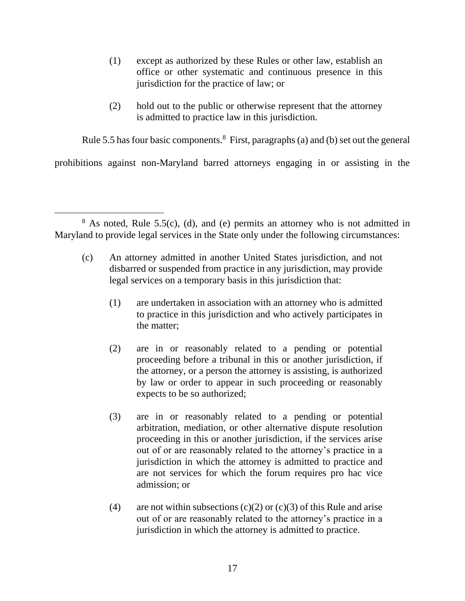- (1) except as authorized by these Rules or other law, establish an office or other systematic and continuous presence in this jurisdiction for the practice of law; or
- (2) hold out to the public or otherwise represent that the attorney is admitted to practice law in this jurisdiction.

Rule 5.5 has four basic components. $8$  First, paragraphs (a) and (b) set out the general

prohibitions against non-Maryland barred attorneys engaging in or assisting in the

- (c) An attorney admitted in another United States jurisdiction, and not disbarred or suspended from practice in any jurisdiction, may provide legal services on a temporary basis in this jurisdiction that:
	- (1) are undertaken in association with an attorney who is admitted to practice in this jurisdiction and who actively participates in the matter;
	- (2) are in or reasonably related to a pending or potential proceeding before a tribunal in this or another jurisdiction, if the attorney, or a person the attorney is assisting, is authorized by law or order to appear in such proceeding or reasonably expects to be so authorized;
	- (3) are in or reasonably related to a pending or potential arbitration, mediation, or other alternative dispute resolution proceeding in this or another jurisdiction, if the services arise out of or are reasonably related to the attorney's practice in a jurisdiction in which the attorney is admitted to practice and are not services for which the forum requires pro hac vice admission; or
	- (4) are not within subsections  $(c)(2)$  or  $(c)(3)$  of this Rule and arise out of or are reasonably related to the attorney's practice in a jurisdiction in which the attorney is admitted to practice.

 $8$  As noted, Rule 5.5(c), (d), and (e) permits an attorney who is not admitted in Maryland to provide legal services in the State only under the following circumstances: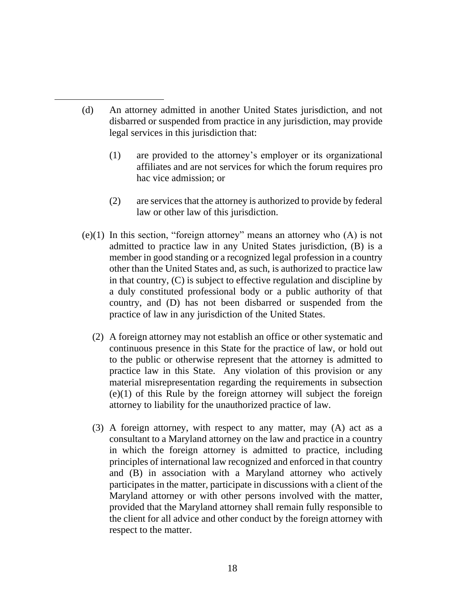- (d) An attorney admitted in another United States jurisdiction, and not disbarred or suspended from practice in any jurisdiction, may provide legal services in this jurisdiction that:
	- (1) are provided to the attorney's employer or its organizational affiliates and are not services for which the forum requires pro hac vice admission; or
	- (2) are services that the attorney is authorized to provide by federal law or other law of this jurisdiction.
- $(e)(1)$  In this section, "foreign attorney" means an attorney who  $(A)$  is not admitted to practice law in any United States jurisdiction, (B) is a member in good standing or a recognized legal profession in a country other than the United States and, as such, is authorized to practice law in that country, (C) is subject to effective regulation and discipline by a duly constituted professional body or a public authority of that country, and (D) has not been disbarred or suspended from the practice of law in any jurisdiction of the United States.
	- (2) A foreign attorney may not establish an office or other systematic and continuous presence in this State for the practice of law, or hold out to the public or otherwise represent that the attorney is admitted to practice law in this State. Any violation of this provision or any material misrepresentation regarding the requirements in subsection (e)(1) of this Rule by the foreign attorney will subject the foreign attorney to liability for the unauthorized practice of law.
	- (3) A foreign attorney, with respect to any matter, may (A) act as a consultant to a Maryland attorney on the law and practice in a country in which the foreign attorney is admitted to practice, including principles of international law recognized and enforced in that country and (B) in association with a Maryland attorney who actively participates in the matter, participate in discussions with a client of the Maryland attorney or with other persons involved with the matter, provided that the Maryland attorney shall remain fully responsible to the client for all advice and other conduct by the foreign attorney with respect to the matter.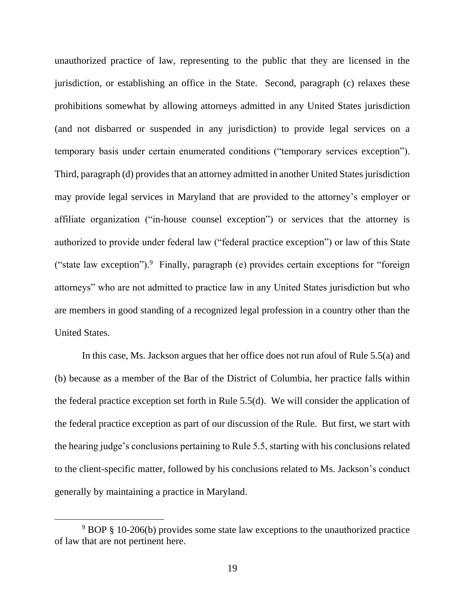unauthorized practice of law, representing to the public that they are licensed in the jurisdiction, or establishing an office in the State. Second, paragraph (c) relaxes these prohibitions somewhat by allowing attorneys admitted in any United States jurisdiction (and not disbarred or suspended in any jurisdiction) to provide legal services on a temporary basis under certain enumerated conditions ("temporary services exception"). Third, paragraph (d) provides that an attorney admitted in another United States jurisdiction may provide legal services in Maryland that are provided to the attorney's employer or affiliate organization ("in-house counsel exception") or services that the attorney is authorized to provide under federal law ("federal practice exception") or law of this State ("state law exception"). Finally, paragraph (e) provides certain exceptions for "foreign attorneys" who are not admitted to practice law in any United States jurisdiction but who are members in good standing of a recognized legal profession in a country other than the United States.

In this case, Ms. Jackson argues that her office does not run afoul of Rule 5.5(a) and (b) because as a member of the Bar of the District of Columbia, her practice falls within the federal practice exception set forth in Rule 5.5(d). We will consider the application of the federal practice exception as part of our discussion of the Rule. But first, we start with the hearing judge's conclusions pertaining to Rule 5.5, starting with his conclusions related to the client-specific matter, followed by his conclusions related to Ms. Jackson's conduct generally by maintaining a practice in Maryland.

<sup>9</sup> BOP § 10-206(b) provides some state law exceptions to the unauthorized practice of law that are not pertinent here.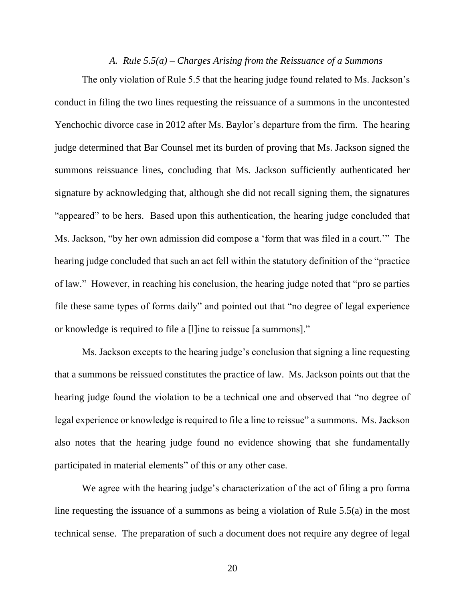### *A. Rule 5.5(a) – Charges Arising from the Reissuance of a Summons*

The only violation of Rule 5.5 that the hearing judge found related to Ms. Jackson's conduct in filing the two lines requesting the reissuance of a summons in the uncontested Yenchochic divorce case in 2012 after Ms. Baylor's departure from the firm. The hearing judge determined that Bar Counsel met its burden of proving that Ms. Jackson signed the summons reissuance lines, concluding that Ms. Jackson sufficiently authenticated her signature by acknowledging that, although she did not recall signing them, the signatures "appeared" to be hers. Based upon this authentication, the hearing judge concluded that Ms. Jackson, "by her own admission did compose a 'form that was filed in a court.'" The hearing judge concluded that such an act fell within the statutory definition of the "practice of law." However, in reaching his conclusion, the hearing judge noted that "pro se parties file these same types of forms daily" and pointed out that "no degree of legal experience or knowledge is required to file a [l]ine to reissue [a summons]."

Ms. Jackson excepts to the hearing judge's conclusion that signing a line requesting that a summons be reissued constitutes the practice of law. Ms. Jackson points out that the hearing judge found the violation to be a technical one and observed that "no degree of legal experience or knowledge is required to file a line to reissue" a summons. Ms. Jackson also notes that the hearing judge found no evidence showing that she fundamentally participated in material elements" of this or any other case.

We agree with the hearing judge's characterization of the act of filing a pro forma line requesting the issuance of a summons as being a violation of Rule 5.5(a) in the most technical sense. The preparation of such a document does not require any degree of legal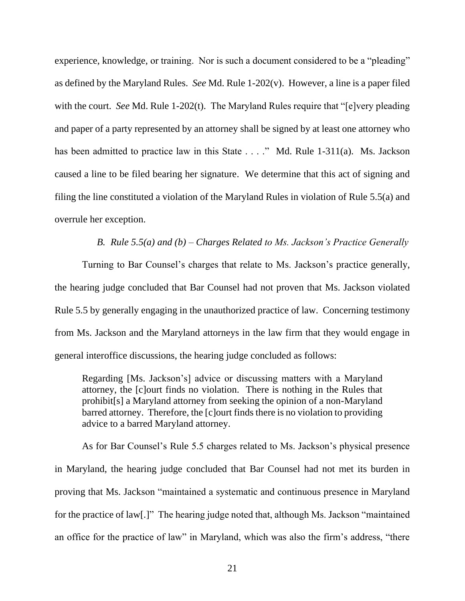experience, knowledge, or training. Nor is such a document considered to be a "pleading" as defined by the Maryland Rules. *See* Md. Rule 1-202(v). However, a line is a paper filed with the court. *See* Md. Rule 1-202(t). The Maryland Rules require that "[e]very pleading and paper of a party represented by an attorney shall be signed by at least one attorney who has been admitted to practice law in this State . . . ." Md. Rule 1-311(a). Ms. Jackson caused a line to be filed bearing her signature. We determine that this act of signing and filing the line constituted a violation of the Maryland Rules in violation of Rule 5.5(a) and overrule her exception.

*B. Rule 5.5(a) and (b) – Charges Related to Ms. Jackson's Practice Generally*

Turning to Bar Counsel's charges that relate to Ms. Jackson's practice generally, the hearing judge concluded that Bar Counsel had not proven that Ms. Jackson violated Rule 5.5 by generally engaging in the unauthorized practice of law. Concerning testimony from Ms. Jackson and the Maryland attorneys in the law firm that they would engage in general interoffice discussions, the hearing judge concluded as follows:

Regarding [Ms. Jackson's] advice or discussing matters with a Maryland attorney, the [c]ourt finds no violation. There is nothing in the Rules that prohibit[s] a Maryland attorney from seeking the opinion of a non-Maryland barred attorney. Therefore, the [c]ourt finds there is no violation to providing advice to a barred Maryland attorney.

As for Bar Counsel's Rule 5.5 charges related to Ms. Jackson's physical presence in Maryland, the hearing judge concluded that Bar Counsel had not met its burden in proving that Ms. Jackson "maintained a systematic and continuous presence in Maryland for the practice of law[.]" The hearing judge noted that, although Ms. Jackson "maintained an office for the practice of law" in Maryland, which was also the firm's address, "there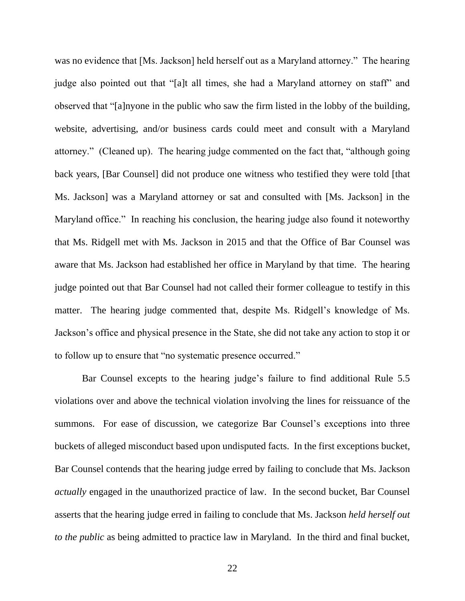was no evidence that [Ms. Jackson] held herself out as a Maryland attorney." The hearing judge also pointed out that "[a]t all times, she had a Maryland attorney on staff" and observed that "[a]nyone in the public who saw the firm listed in the lobby of the building, website, advertising, and/or business cards could meet and consult with a Maryland attorney." (Cleaned up). The hearing judge commented on the fact that, "although going back years, [Bar Counsel] did not produce one witness who testified they were told [that Ms. Jackson] was a Maryland attorney or sat and consulted with [Ms. Jackson] in the Maryland office." In reaching his conclusion, the hearing judge also found it noteworthy that Ms. Ridgell met with Ms. Jackson in 2015 and that the Office of Bar Counsel was aware that Ms. Jackson had established her office in Maryland by that time. The hearing judge pointed out that Bar Counsel had not called their former colleague to testify in this matter. The hearing judge commented that, despite Ms. Ridgell's knowledge of Ms. Jackson's office and physical presence in the State, she did not take any action to stop it or to follow up to ensure that "no systematic presence occurred."

Bar Counsel excepts to the hearing judge's failure to find additional Rule 5.5 violations over and above the technical violation involving the lines for reissuance of the summons. For ease of discussion, we categorize Bar Counsel's exceptions into three buckets of alleged misconduct based upon undisputed facts. In the first exceptions bucket, Bar Counsel contends that the hearing judge erred by failing to conclude that Ms. Jackson *actually* engaged in the unauthorized practice of law. In the second bucket, Bar Counsel asserts that the hearing judge erred in failing to conclude that Ms. Jackson *held herself out to the public* as being admitted to practice law in Maryland. In the third and final bucket,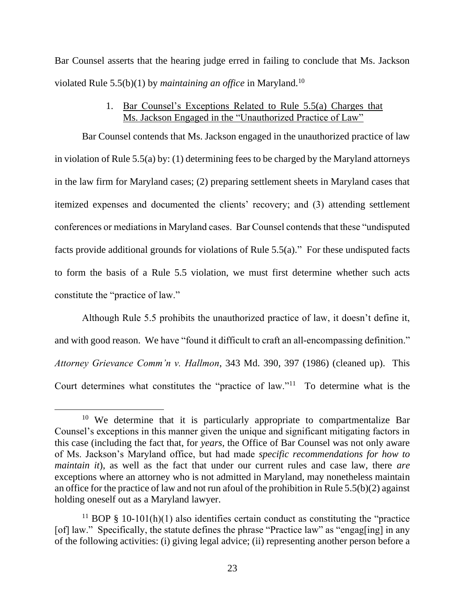Bar Counsel asserts that the hearing judge erred in failing to conclude that Ms. Jackson violated Rule 5.5(b)(1) by *maintaining an office* in Maryland.<sup>10</sup>

## 1. Bar Counsel's Exceptions Related to Rule 5.5(a) Charges that Ms. Jackson Engaged in the "Unauthorized Practice of Law"

Bar Counsel contends that Ms. Jackson engaged in the unauthorized practice of law in violation of Rule 5.5(a) by: (1) determining fees to be charged by the Maryland attorneys in the law firm for Maryland cases; (2) preparing settlement sheets in Maryland cases that itemized expenses and documented the clients' recovery; and (3) attending settlement conferences or mediations in Maryland cases. Bar Counsel contends that these "undisputed facts provide additional grounds for violations of Rule 5.5(a)." For these undisputed facts to form the basis of a Rule 5.5 violation, we must first determine whether such acts constitute the "practice of law."

Although Rule 5.5 prohibits the unauthorized practice of law, it doesn't define it, and with good reason. We have "found it difficult to craft an all-encompassing definition." *Attorney Grievance Comm'n v. Hallmon*, 343 Md. 390, 397 (1986) (cleaned up). This Court determines what constitutes the "practice of law."<sup>11</sup> To determine what is the

<sup>&</sup>lt;sup>10</sup> We determine that it is particularly appropriate to compartmentalize Bar Counsel's exceptions in this manner given the unique and significant mitigating factors in this case (including the fact that, for *years*, the Office of Bar Counsel was not only aware of Ms. Jackson's Maryland office, but had made *specific recommendations for how to maintain it*), as well as the fact that under our current rules and case law, there *are* exceptions where an attorney who is not admitted in Maryland, may nonetheless maintain an office for the practice of law and not run afoul of the prohibition in Rule 5.5(b)(2) against holding oneself out as a Maryland lawyer.

<sup>&</sup>lt;sup>11</sup> BOP § 10-101(h)(1) also identifies certain conduct as constituting the "practice" [of] law." Specifically, the statute defines the phrase "Practice law" as "engag[ing] in any of the following activities: (i) giving legal advice; (ii) representing another person before a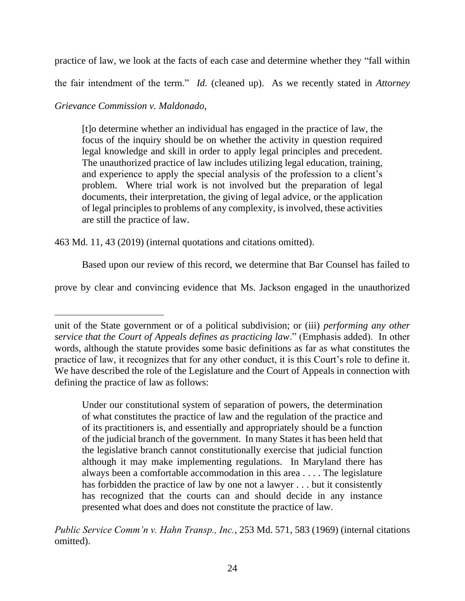practice of law, we look at the facts of each case and determine whether they "fall within

the fair intendment of the term." *Id.* (cleaned up). As we recently stated in *Attorney* 

# *Grievance Commission v. Maldonado*,

[t]o determine whether an individual has engaged in the practice of law, the focus of the inquiry should be on whether the activity in question required legal knowledge and skill in order to apply legal principles and precedent. The unauthorized practice of law includes utilizing legal education, training, and experience to apply the special analysis of the profession to a client's problem. Where trial work is not involved but the preparation of legal documents, their interpretation, the giving of legal advice, or the application of legal principles to problems of any complexity, is involved, these activities are still the practice of law.

463 Md. 11, 43 (2019) (internal quotations and citations omitted).

Based upon our review of this record, we determine that Bar Counsel has failed to

prove by clear and convincing evidence that Ms. Jackson engaged in the unauthorized

Under our constitutional system of separation of powers, the determination of what constitutes the practice of law and the regulation of the practice and of its practitioners is, and essentially and appropriately should be a function of the judicial branch of the government. In many States it has been held that the legislative branch cannot constitutionally exercise that judicial function although it may make implementing regulations. In Maryland there has always been a comfortable accommodation in this area . . . . The legislature has forbidden the practice of law by one not a lawyer . . . but it consistently has recognized that the courts can and should decide in any instance presented what does and does not constitute the practice of law.

*Public Service Comm'n v. Hahn Transp., Inc.*, 253 Md. 571, 583 (1969) (internal citations omitted).

unit of the State government or of a political subdivision; or (iii) *performing any other service that the Court of Appeals defines as practicing law*." (Emphasis added). In other words, although the statute provides some basic definitions as far as what constitutes the practice of law, it recognizes that for any other conduct, it is this Court's role to define it. We have described the role of the Legislature and the Court of Appeals in connection with defining the practice of law as follows: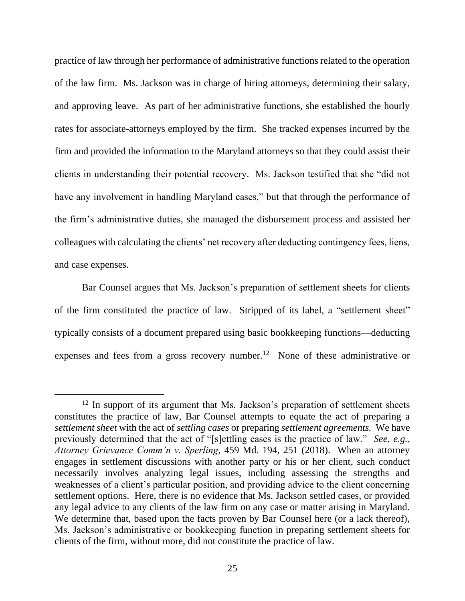practice of law through her performance of administrative functions related to the operation of the law firm. Ms. Jackson was in charge of hiring attorneys, determining their salary, and approving leave. As part of her administrative functions, she established the hourly rates for associate-attorneys employed by the firm. She tracked expenses incurred by the firm and provided the information to the Maryland attorneys so that they could assist their clients in understanding their potential recovery. Ms. Jackson testified that she "did not have any involvement in handling Maryland cases," but that through the performance of the firm's administrative duties, she managed the disbursement process and assisted her colleagues with calculating the clients' net recovery after deducting contingency fees, liens, and case expenses.

Bar Counsel argues that Ms. Jackson's preparation of settlement sheets for clients of the firm constituted the practice of law. Stripped of its label, a "settlement sheet" typically consists of a document prepared using basic bookkeeping functions—deducting expenses and fees from a gross recovery number.<sup>12</sup> None of these administrative or

 $12$  In support of its argument that Ms. Jackson's preparation of settlement sheets constitutes the practice of law, Bar Counsel attempts to equate the act of preparing a *settlement sheet* with the act of *settling cases* or preparing *settlement agreements.* We have previously determined that the act of "[s]ettling cases is the practice of law." *See*, *e.g., Attorney Grievance Comm'n v. Sperling*, 459 Md. 194, 251 (2018). When an attorney engages in settlement discussions with another party or his or her client, such conduct necessarily involves analyzing legal issues, including assessing the strengths and weaknesses of a client's particular position, and providing advice to the client concerning settlement options. Here, there is no evidence that Ms. Jackson settled cases, or provided any legal advice to any clients of the law firm on any case or matter arising in Maryland. We determine that, based upon the facts proven by Bar Counsel here (or a lack thereof), Ms. Jackson's administrative or bookkeeping function in preparing settlement sheets for clients of the firm, without more, did not constitute the practice of law.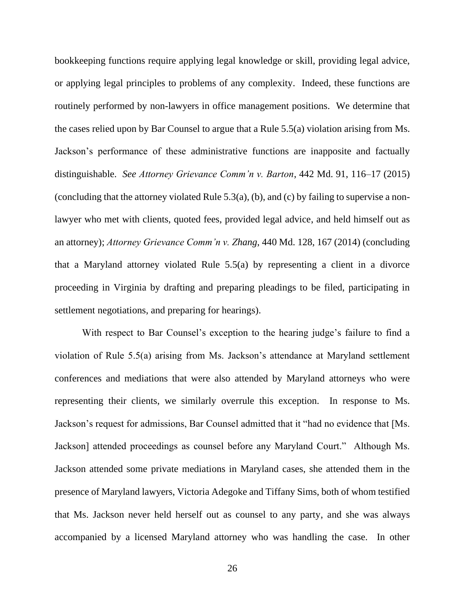bookkeeping functions require applying legal knowledge or skill, providing legal advice, or applying legal principles to problems of any complexity. Indeed, these functions are routinely performed by non-lawyers in office management positions. We determine that the cases relied upon by Bar Counsel to argue that a Rule 5.5(a) violation arising from Ms. Jackson's performance of these administrative functions are inapposite and factually distinguishable. *See Attorney Grievance Comm'n v. Barton*, 442 Md. 91, 116–17 (2015) (concluding that the attorney violated Rule 5.3(a), (b), and (c) by failing to supervise a nonlawyer who met with clients, quoted fees, provided legal advice, and held himself out as an attorney); *Attorney Grievance Comm'n v. Zhang*, 440 Md. 128, 167 (2014) (concluding that a Maryland attorney violated Rule 5.5(a) by representing a client in a divorce proceeding in Virginia by drafting and preparing pleadings to be filed, participating in settlement negotiations, and preparing for hearings).

With respect to Bar Counsel's exception to the hearing judge's failure to find a violation of Rule 5.5(a) arising from Ms. Jackson's attendance at Maryland settlement conferences and mediations that were also attended by Maryland attorneys who were representing their clients, we similarly overrule this exception. In response to Ms. Jackson's request for admissions, Bar Counsel admitted that it "had no evidence that [Ms. Jackson] attended proceedings as counsel before any Maryland Court." Although Ms. Jackson attended some private mediations in Maryland cases, she attended them in the presence of Maryland lawyers, Victoria Adegoke and Tiffany Sims, both of whom testified that Ms. Jackson never held herself out as counsel to any party, and she was always accompanied by a licensed Maryland attorney who was handling the case. In other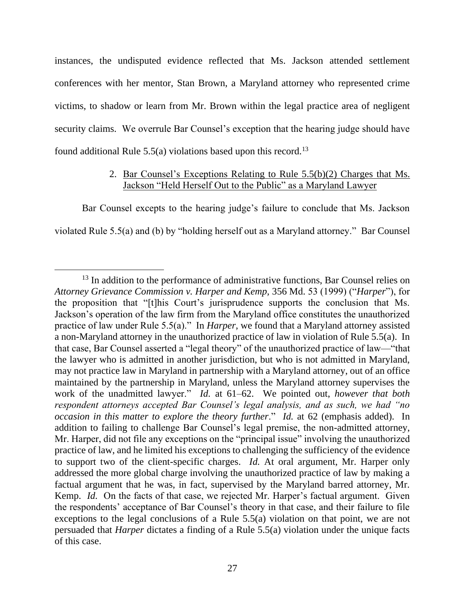instances, the undisputed evidence reflected that Ms. Jackson attended settlement conferences with her mentor, Stan Brown, a Maryland attorney who represented crime victims, to shadow or learn from Mr. Brown within the legal practice area of negligent security claims. We overrule Bar Counsel's exception that the hearing judge should have found additional Rule  $5.5(a)$  violations based upon this record.<sup>13</sup>

# 2. Bar Counsel's Exceptions Relating to Rule 5.5(b)(2) Charges that Ms. Jackson "Held Herself Out to the Public" as a Maryland Lawyer

Bar Counsel excepts to the hearing judge's failure to conclude that Ms. Jackson violated Rule 5.5(a) and (b) by "holding herself out as a Maryland attorney." Bar Counsel

<sup>&</sup>lt;sup>13</sup> In addition to the performance of administrative functions, Bar Counsel relies on *Attorney Grievance Commission v. Harper and Kemp,* 356 Md. 53 (1999) ("*Harper*"), for the proposition that "[t]his Court's jurisprudence supports the conclusion that Ms. Jackson's operation of the law firm from the Maryland office constitutes the unauthorized practice of law under Rule 5.5(a)." In *Harper*, we found that a Maryland attorney assisted a non-Maryland attorney in the unauthorized practice of law in violation of Rule 5.5(a). In that case, Bar Counsel asserted a "legal theory" of the unauthorized practice of law—"that the lawyer who is admitted in another jurisdiction, but who is not admitted in Maryland, may not practice law in Maryland in partnership with a Maryland attorney, out of an office maintained by the partnership in Maryland, unless the Maryland attorney supervises the work of the unadmitted lawyer." *Id.* at 61–62. We pointed out, *however that both respondent attorneys accepted Bar Counsel's legal analysis, and as such, we had "no occasion in this matter to explore the theory further*." *Id.* at 62 (emphasis added). In addition to failing to challenge Bar Counsel's legal premise, the non-admitted attorney, Mr. Harper, did not file any exceptions on the "principal issue" involving the unauthorized practice of law, and he limited his exceptions to challenging the sufficiency of the evidence to support two of the client-specific charges. *Id.* At oral argument, Mr. Harper only addressed the more global charge involving the unauthorized practice of law by making a factual argument that he was, in fact, supervised by the Maryland barred attorney, Mr. Kemp. *Id.* On the facts of that case, we rejected Mr. Harper's factual argument. Given the respondents' acceptance of Bar Counsel's theory in that case, and their failure to file exceptions to the legal conclusions of a Rule 5.5(a) violation on that point, we are not persuaded that *Harper* dictates a finding of a Rule 5.5(a) violation under the unique facts of this case.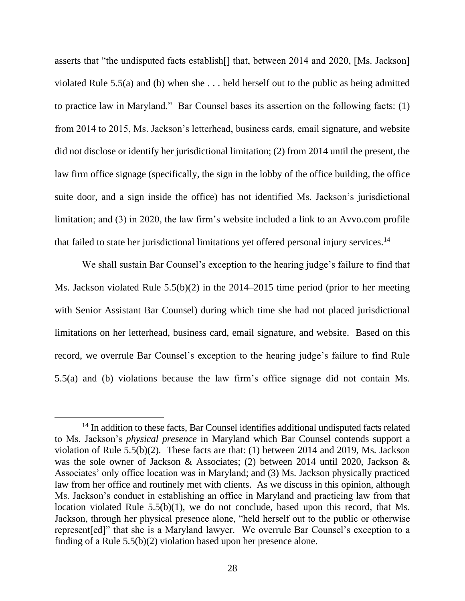asserts that "the undisputed facts establish[] that, between 2014 and 2020, [Ms. Jackson] violated Rule 5.5(a) and (b) when she . . . held herself out to the public as being admitted to practice law in Maryland." Bar Counsel bases its assertion on the following facts: (1) from 2014 to 2015, Ms. Jackson's letterhead, business cards, email signature, and website did not disclose or identify her jurisdictional limitation; (2) from 2014 until the present, the law firm office signage (specifically, the sign in the lobby of the office building, the office suite door, and a sign inside the office) has not identified Ms. Jackson's jurisdictional limitation; and (3) in 2020, the law firm's website included a link to an Avvo.com profile that failed to state her jurisdictional limitations yet offered personal injury services.<sup>14</sup>

We shall sustain Bar Counsel's exception to the hearing judge's failure to find that Ms. Jackson violated Rule 5.5(b)(2) in the 2014–2015 time period (prior to her meeting with Senior Assistant Bar Counsel) during which time she had not placed jurisdictional limitations on her letterhead, business card, email signature, and website. Based on this record, we overrule Bar Counsel's exception to the hearing judge's failure to find Rule 5.5(a) and (b) violations because the law firm's office signage did not contain Ms.

<sup>&</sup>lt;sup>14</sup> In addition to these facts, Bar Counsel identifies additional undisputed facts related to Ms. Jackson's *physical presence* in Maryland which Bar Counsel contends support a violation of Rule 5.5(b)(2). These facts are that: (1) between 2014 and 2019, Ms. Jackson was the sole owner of Jackson & Associates; (2) between 2014 until 2020, Jackson & Associates' only office location was in Maryland; and (3) Ms. Jackson physically practiced law from her office and routinely met with clients. As we discuss in this opinion, although Ms. Jackson's conduct in establishing an office in Maryland and practicing law from that location violated Rule 5.5(b)(1), we do not conclude, based upon this record, that Ms. Jackson, through her physical presence alone, "held herself out to the public or otherwise represent[ed]" that she is a Maryland lawyer. We overrule Bar Counsel's exception to a finding of a Rule 5.5(b)(2) violation based upon her presence alone.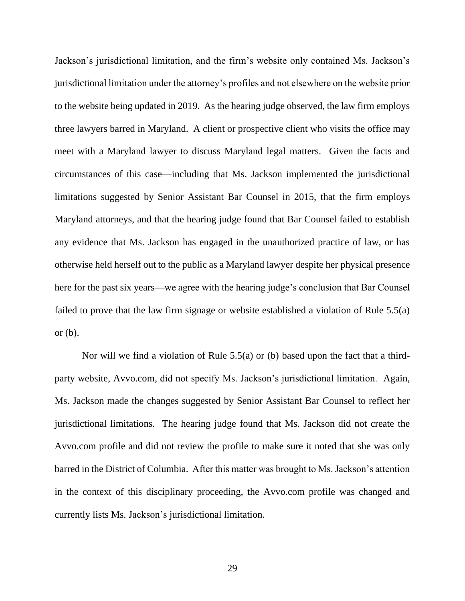Jackson's jurisdictional limitation, and the firm's website only contained Ms. Jackson's jurisdictional limitation under the attorney's profiles and not elsewhere on the website prior to the website being updated in 2019. As the hearing judge observed, the law firm employs three lawyers barred in Maryland. A client or prospective client who visits the office may meet with a Maryland lawyer to discuss Maryland legal matters. Given the facts and circumstances of this case—including that Ms. Jackson implemented the jurisdictional limitations suggested by Senior Assistant Bar Counsel in 2015, that the firm employs Maryland attorneys, and that the hearing judge found that Bar Counsel failed to establish any evidence that Ms. Jackson has engaged in the unauthorized practice of law, or has otherwise held herself out to the public as a Maryland lawyer despite her physical presence here for the past six years—we agree with the hearing judge's conclusion that Bar Counsel failed to prove that the law firm signage or website established a violation of Rule 5.5(a) or  $(b)$ .

Nor will we find a violation of Rule 5.5(a) or (b) based upon the fact that a thirdparty website, Avvo.com, did not specify Ms. Jackson's jurisdictional limitation. Again, Ms. Jackson made the changes suggested by Senior Assistant Bar Counsel to reflect her jurisdictional limitations. The hearing judge found that Ms. Jackson did not create the Avvo.com profile and did not review the profile to make sure it noted that she was only barred in the District of Columbia. After this matter was brought to Ms. Jackson's attention in the context of this disciplinary proceeding, the Avvo.com profile was changed and currently lists Ms. Jackson's jurisdictional limitation.

29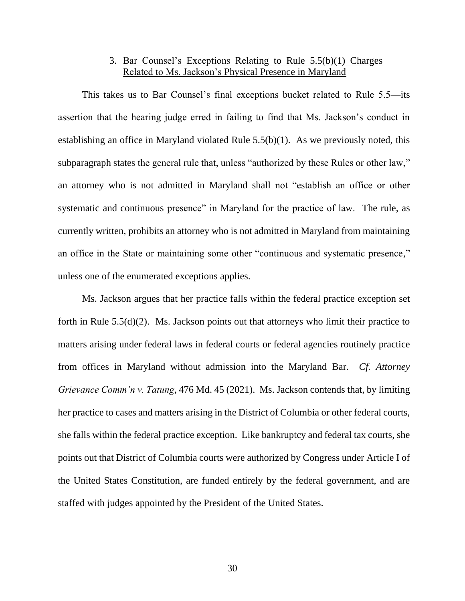# 3. Bar Counsel's Exceptions Relating to Rule 5.5(b)(1) Charges Related to Ms. Jackson's Physical Presence in Maryland

This takes us to Bar Counsel's final exceptions bucket related to Rule 5.5—its assertion that the hearing judge erred in failing to find that Ms. Jackson's conduct in establishing an office in Maryland violated Rule 5.5(b)(1). As we previously noted, this subparagraph states the general rule that, unless "authorized by these Rules or other law," an attorney who is not admitted in Maryland shall not "establish an office or other systematic and continuous presence" in Maryland for the practice of law. The rule, as currently written, prohibits an attorney who is not admitted in Maryland from maintaining an office in the State or maintaining some other "continuous and systematic presence," unless one of the enumerated exceptions applies.

Ms. Jackson argues that her practice falls within the federal practice exception set forth in Rule 5.5(d)(2). Ms. Jackson points out that attorneys who limit their practice to matters arising under federal laws in federal courts or federal agencies routinely practice from offices in Maryland without admission into the Maryland Bar. *Cf. Attorney Grievance Comm'n v. Tatung*, 476 Md. 45 (2021). Ms. Jackson contends that, by limiting her practice to cases and matters arising in the District of Columbia or other federal courts, she falls within the federal practice exception. Like bankruptcy and federal tax courts, she points out that District of Columbia courts were authorized by Congress under Article I of the United States Constitution, are funded entirely by the federal government, and are staffed with judges appointed by the President of the United States.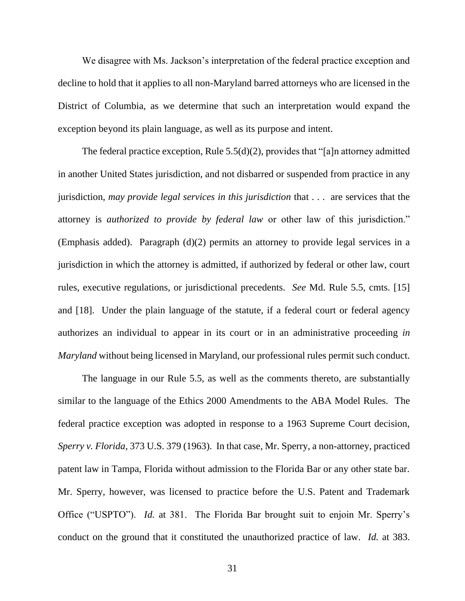We disagree with Ms. Jackson's interpretation of the federal practice exception and decline to hold that it applies to all non-Maryland barred attorneys who are licensed in the District of Columbia, as we determine that such an interpretation would expand the exception beyond its plain language, as well as its purpose and intent.

The federal practice exception, Rule 5.5(d)(2), provides that "[a]n attorney admitted in another United States jurisdiction, and not disbarred or suspended from practice in any jurisdiction, *may provide legal services in this jurisdiction* that . . . are services that the attorney is *authorized to provide by federal law* or other law of this jurisdiction." (Emphasis added). Paragraph (d)(2) permits an attorney to provide legal services in a jurisdiction in which the attorney is admitted, if authorized by federal or other law, court rules, executive regulations, or jurisdictional precedents. *See* Md. Rule 5.5, cmts. [15] and [18]. Under the plain language of the statute, if a federal court or federal agency authorizes an individual to appear in its court or in an administrative proceeding *in Maryland* without being licensed in Maryland, our professional rules permit such conduct.

The language in our Rule 5.5, as well as the comments thereto, are substantially similar to the language of the Ethics 2000 Amendments to the ABA Model Rules. The federal practice exception was adopted in response to a 1963 Supreme Court decision, *Sperry v. Florida*, 373 U.S. 379 (1963). In that case, Mr. Sperry, a non-attorney, practiced patent law in Tampa, Florida without admission to the Florida Bar or any other state bar. Mr. Sperry, however, was licensed to practice before the U.S. Patent and Trademark Office ("USPTO"). *Id.* at 381. The Florida Bar brought suit to enjoin Mr. Sperry's conduct on the ground that it constituted the unauthorized practice of law. *Id.* at 383.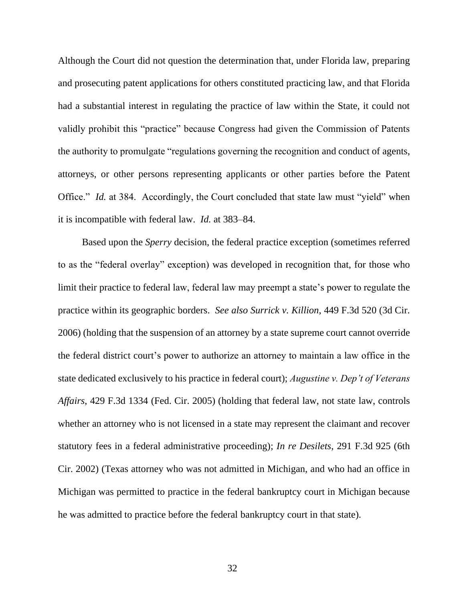Although the Court did not question the determination that, under Florida law, preparing and prosecuting patent applications for others constituted practicing law, and that Florida had a substantial interest in regulating the practice of law within the State, it could not validly prohibit this "practice" because Congress had given the Commission of Patents the authority to promulgate "regulations governing the recognition and conduct of agents, attorneys, or other persons representing applicants or other parties before the Patent Office." *Id.* at 384. Accordingly, the Court concluded that state law must "yield" when it is incompatible with federal law. *Id.* at 383–84.

Based upon the *Sperry* decision, the federal practice exception (sometimes referred to as the "federal overlay" exception) was developed in recognition that, for those who limit their practice to federal law, federal law may preempt a state's power to regulate the practice within its geographic borders. *See also Surrick v. Killion*, 449 F.3d 520 (3d Cir. 2006) (holding that the suspension of an attorney by a state supreme court cannot override the federal district court's power to authorize an attorney to maintain a law office in the state dedicated exclusively to his practice in federal court); *Augustine v. Dep't of Veterans Affairs*, 429 F.3d 1334 (Fed. Cir. 2005) (holding that federal law, not state law, controls whether an attorney who is not licensed in a state may represent the claimant and recover statutory fees in a federal administrative proceeding); *In re Desilets*, 291 F.3d 925 (6th Cir. 2002) (Texas attorney who was not admitted in Michigan, and who had an office in Michigan was permitted to practice in the federal bankruptcy court in Michigan because he was admitted to practice before the federal bankruptcy court in that state).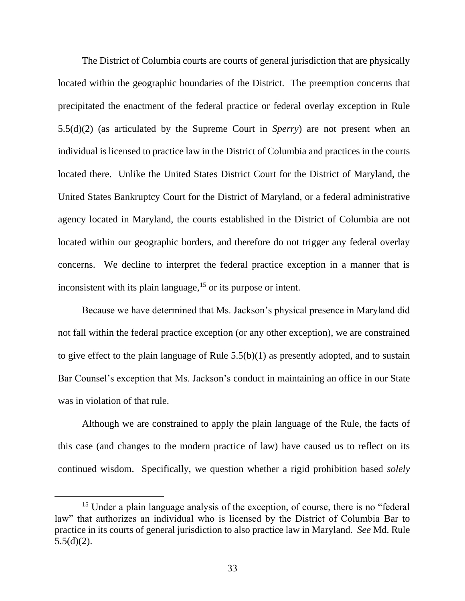The District of Columbia courts are courts of general jurisdiction that are physically located within the geographic boundaries of the District. The preemption concerns that precipitated the enactment of the federal practice or federal overlay exception in Rule 5.5(d)(2) (as articulated by the Supreme Court in *Sperry*) are not present when an individual is licensed to practice law in the District of Columbia and practices in the courts located there. Unlike the United States District Court for the District of Maryland, the United States Bankruptcy Court for the District of Maryland, or a federal administrative agency located in Maryland, the courts established in the District of Columbia are not located within our geographic borders, and therefore do not trigger any federal overlay concerns. We decline to interpret the federal practice exception in a manner that is inconsistent with its plain language, $15$  or its purpose or intent.

Because we have determined that Ms. Jackson's physical presence in Maryland did not fall within the federal practice exception (or any other exception), we are constrained to give effect to the plain language of Rule 5.5(b)(1) as presently adopted, and to sustain Bar Counsel's exception that Ms. Jackson's conduct in maintaining an office in our State was in violation of that rule.

Although we are constrained to apply the plain language of the Rule, the facts of this case (and changes to the modern practice of law) have caused us to reflect on its continued wisdom. Specifically, we question whether a rigid prohibition based *solely*

<sup>&</sup>lt;sup>15</sup> Under a plain language analysis of the exception, of course, there is no "federal" law" that authorizes an individual who is licensed by the District of Columbia Bar to practice in its courts of general jurisdiction to also practice law in Maryland. *See* Md. Rule  $5.5(d)(2)$ .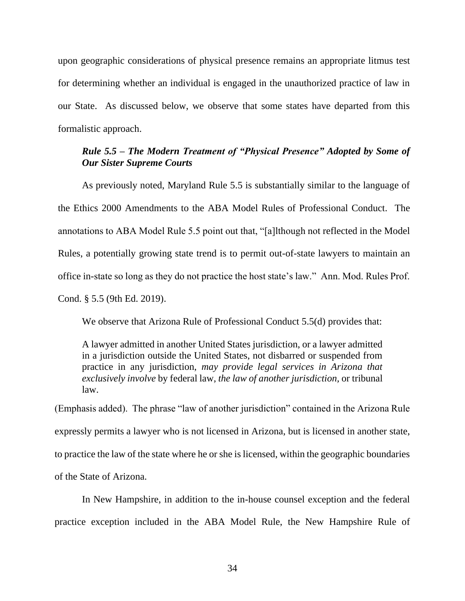upon geographic considerations of physical presence remains an appropriate litmus test for determining whether an individual is engaged in the unauthorized practice of law in our State. As discussed below, we observe that some states have departed from this formalistic approach.

# *Rule 5.5 – The Modern Treatment of "Physical Presence" Adopted by Some of Our Sister Supreme Courts*

As previously noted, Maryland Rule 5.5 is substantially similar to the language of the Ethics 2000 Amendments to the ABA Model Rules of Professional Conduct. The annotations to ABA Model Rule 5.5 point out that, "[a]lthough not reflected in the Model Rules, a potentially growing state trend is to permit out-of-state lawyers to maintain an office in-state so long as they do not practice the host state's law." Ann. Mod. Rules Prof. Cond. § 5.5 (9th Ed. 2019).

We observe that Arizona Rule of Professional Conduct 5.5(d) provides that:

A lawyer admitted in another United States jurisdiction, or a lawyer admitted in a jurisdiction outside the United States, not disbarred or suspended from practice in any jurisdiction, *may provide legal services in Arizona that exclusively involve* by federal law, *the law of another jurisdiction,* or tribunal law.

(Emphasis added). The phrase "law of another jurisdiction" contained in the Arizona Rule expressly permits a lawyer who is not licensed in Arizona, but is licensed in another state, to practice the law of the state where he or she is licensed, within the geographic boundaries of the State of Arizona.

In New Hampshire, in addition to the in-house counsel exception and the federal practice exception included in the ABA Model Rule, the New Hampshire Rule of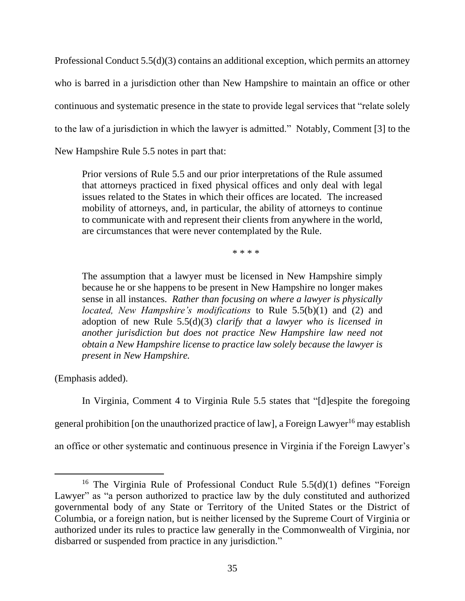Professional Conduct 5.5(d)(3) contains an additional exception, which permits an attorney who is barred in a jurisdiction other than New Hampshire to maintain an office or other continuous and systematic presence in the state to provide legal services that "relate solely to the law of a jurisdiction in which the lawyer is admitted." Notably, Comment [3] to the New Hampshire Rule 5.5 notes in part that:

Prior versions of Rule 5.5 and our prior interpretations of the Rule assumed that attorneys practiced in fixed physical offices and only deal with legal issues related to the States in which their offices are located. The increased mobility of attorneys, and, in particular, the ability of attorneys to continue to communicate with and represent their clients from anywhere in the world, are circumstances that were never contemplated by the Rule.

\* \* \* \*

The assumption that a lawyer must be licensed in New Hampshire simply because he or she happens to be present in New Hampshire no longer makes sense in all instances. *Rather than focusing on where a lawyer is physically located, New Hampshire's modifications* to Rule 5.5(b)(1) and (2) and adoption of new Rule 5.5(d)(3) *clarify that a lawyer who is licensed in another jurisdiction but does not practice New Hampshire law need not obtain a New Hampshire license to practice law solely because the lawyer is present in New Hampshire.* 

(Emphasis added).

In Virginia, Comment 4 to Virginia Rule 5.5 states that "[d]espite the foregoing

general prohibition [on the unauthorized practice of law], a Foreign Lawyer<sup>16</sup> may establish

an office or other systematic and continuous presence in Virginia if the Foreign Lawyer's

<sup>&</sup>lt;sup>16</sup> The Virginia Rule of Professional Conduct Rule  $5.5(d)(1)$  defines "Foreign" Lawyer" as "a person authorized to practice law by the duly constituted and authorized governmental body of any State or Territory of the United States or the District of Columbia, or a foreign nation, but is neither licensed by the Supreme Court of Virginia or authorized under its rules to practice law generally in the Commonwealth of Virginia, nor disbarred or suspended from practice in any jurisdiction."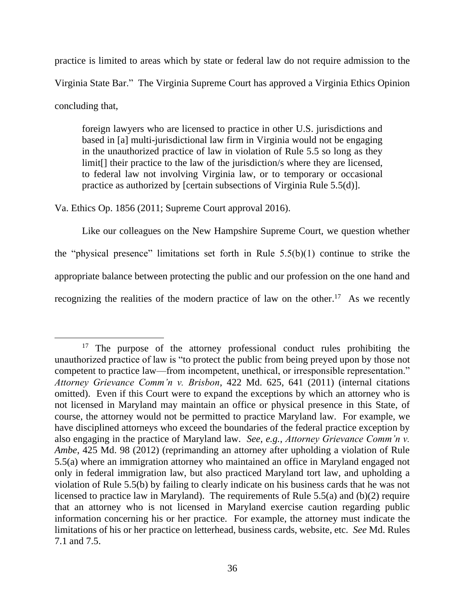practice is limited to areas which by state or federal law do not require admission to the Virginia State Bar." The Virginia Supreme Court has approved a Virginia Ethics Opinion concluding that,

foreign lawyers who are licensed to practice in other U.S. jurisdictions and based in [a] multi-jurisdictional law firm in Virginia would not be engaging in the unauthorized practice of law in violation of Rule 5.5 so long as they limit[] their practice to the law of the jurisdiction/s where they are licensed, to federal law not involving Virginia law, or to temporary or occasional practice as authorized by [certain subsections of Virginia Rule 5.5(d)].

Va. Ethics Op. 1856 (2011; Supreme Court approval 2016).

Like our colleagues on the New Hampshire Supreme Court, we question whether the "physical presence" limitations set forth in Rule  $5.5(b)(1)$  continue to strike the appropriate balance between protecting the public and our profession on the one hand and recognizing the realities of the modern practice of law on the other.<sup>17</sup> As we recently

<sup>&</sup>lt;sup>17</sup> The purpose of the attorney professional conduct rules prohibiting the unauthorized practice of law is "to protect the public from being preyed upon by those not competent to practice law—from incompetent, unethical, or irresponsible representation." *Attorney Grievance Comm'n v. Brisbon*, 422 Md. 625, 641 (2011) (internal citations omitted). Even if this Court were to expand the exceptions by which an attorney who is not licensed in Maryland may maintain an office or physical presence in this State, of course, the attorney would not be permitted to practice Maryland law. For example, we have disciplined attorneys who exceed the boundaries of the federal practice exception by also engaging in the practice of Maryland law. *See*, *e.g.*, *Attorney Grievance Comm'n v. Ambe*, 425 Md. 98 (2012) (reprimanding an attorney after upholding a violation of Rule 5.5(a) where an immigration attorney who maintained an office in Maryland engaged not only in federal immigration law, but also practiced Maryland tort law, and upholding a violation of Rule 5.5(b) by failing to clearly indicate on his business cards that he was not licensed to practice law in Maryland). The requirements of Rule 5.5(a) and (b)(2) require that an attorney who is not licensed in Maryland exercise caution regarding public information concerning his or her practice. For example, the attorney must indicate the limitations of his or her practice on letterhead, business cards, website, etc. *See* Md. Rules 7.1 and 7.5.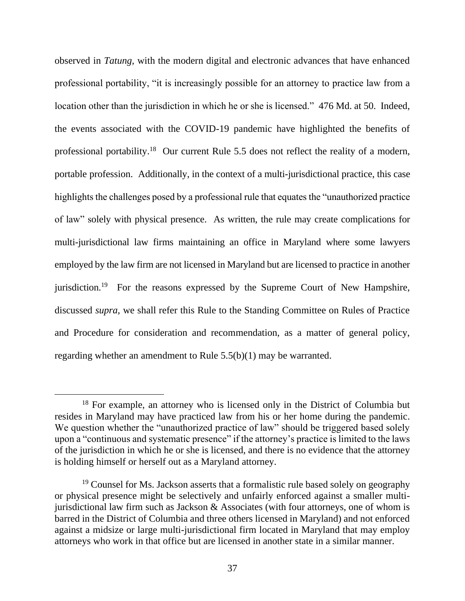observed in *Tatung*, with the modern digital and electronic advances that have enhanced professional portability, "it is increasingly possible for an attorney to practice law from a location other than the jurisdiction in which he or she is licensed." 476 Md. at 50. Indeed, the events associated with the COVID-19 pandemic have highlighted the benefits of professional portability.<sup>18</sup> Our current Rule 5.5 does not reflect the reality of a modern, portable profession. Additionally, in the context of a multi-jurisdictional practice, this case highlights the challenges posed by a professional rule that equates the "unauthorized practice of law" solely with physical presence. As written, the rule may create complications for multi-jurisdictional law firms maintaining an office in Maryland where some lawyers employed by the law firm are not licensed in Maryland but are licensed to practice in another jurisdiction.<sup>19</sup> For the reasons expressed by the Supreme Court of New Hampshire, discussed *supra*, we shall refer this Rule to the Standing Committee on Rules of Practice and Procedure for consideration and recommendation, as a matter of general policy, regarding whether an amendment to Rule 5.5(b)(1) may be warranted.

<sup>&</sup>lt;sup>18</sup> For example, an attorney who is licensed only in the District of Columbia but resides in Maryland may have practiced law from his or her home during the pandemic. We question whether the "unauthorized practice of law" should be triggered based solely upon a "continuous and systematic presence" if the attorney's practice is limited to the laws of the jurisdiction in which he or she is licensed, and there is no evidence that the attorney is holding himself or herself out as a Maryland attorney.

 $19$  Counsel for Ms. Jackson asserts that a formalistic rule based solely on geography or physical presence might be selectively and unfairly enforced against a smaller multijurisdictional law firm such as Jackson & Associates (with four attorneys, one of whom is barred in the District of Columbia and three others licensed in Maryland) and not enforced against a midsize or large multi-jurisdictional firm located in Maryland that may employ attorneys who work in that office but are licensed in another state in a similar manner.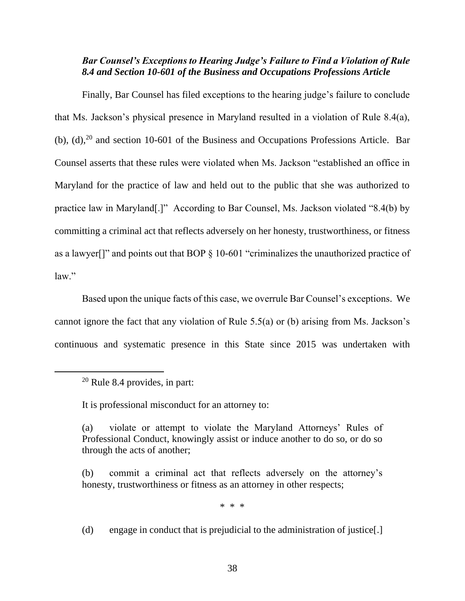# *Bar Counsel's Exceptions to Hearing Judge's Failure to Find a Violation of Rule 8.4 and Section 10-601 of the Business and Occupations Professions Article*

Finally, Bar Counsel has filed exceptions to the hearing judge's failure to conclude that Ms. Jackson's physical presence in Maryland resulted in a violation of Rule 8.4(a), (b),  $(d)$ ,  $^{20}$  and section 10-601 of the Business and Occupations Professions Article. Bar Counsel asserts that these rules were violated when Ms. Jackson "established an office in Maryland for the practice of law and held out to the public that she was authorized to practice law in Maryland[.]" According to Bar Counsel, Ms. Jackson violated "8.4(b) by committing a criminal act that reflects adversely on her honesty, trustworthiness, or fitness as a lawyer<sup>[]"</sup> and points out that BOP  $\S$  10-601 "criminalizes the unauthorized practice of law."

Based upon the unique facts of this case, we overrule Bar Counsel's exceptions. We cannot ignore the fact that any violation of Rule 5.5(a) or (b) arising from Ms. Jackson's continuous and systematic presence in this State since 2015 was undertaken with

It is professional misconduct for an attorney to:

\* \* \*

(d) engage in conduct that is prejudicial to the administration of justice[.]

 $20$  Rule 8.4 provides, in part:

<sup>(</sup>a) violate or attempt to violate the Maryland Attorneys' Rules of Professional Conduct, knowingly assist or induce another to do so, or do so through the acts of another;

<sup>(</sup>b) commit a criminal act that reflects adversely on the attorney's honesty, trustworthiness or fitness as an attorney in other respects;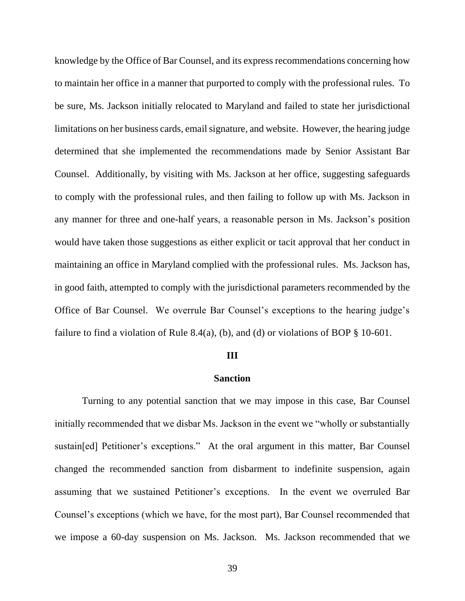knowledge by the Office of Bar Counsel, and its express recommendations concerning how to maintain her office in a manner that purported to comply with the professional rules. To be sure, Ms. Jackson initially relocated to Maryland and failed to state her jurisdictional limitations on her business cards, email signature, and website. However, the hearing judge determined that she implemented the recommendations made by Senior Assistant Bar Counsel. Additionally, by visiting with Ms. Jackson at her office, suggesting safeguards to comply with the professional rules, and then failing to follow up with Ms. Jackson in any manner for three and one-half years, a reasonable person in Ms. Jackson's position would have taken those suggestions as either explicit or tacit approval that her conduct in maintaining an office in Maryland complied with the professional rules. Ms. Jackson has, in good faith, attempted to comply with the jurisdictional parameters recommended by the Office of Bar Counsel. We overrule Bar Counsel's exceptions to the hearing judge's failure to find a violation of Rule 8.4(a), (b), and (d) or violations of BOP  $\S$  10-601.

#### **III**

### **Sanction**

Turning to any potential sanction that we may impose in this case, Bar Counsel initially recommended that we disbar Ms. Jackson in the event we "wholly or substantially sustain[ed] Petitioner's exceptions." At the oral argument in this matter, Bar Counsel changed the recommended sanction from disbarment to indefinite suspension, again assuming that we sustained Petitioner's exceptions. In the event we overruled Bar Counsel's exceptions (which we have, for the most part), Bar Counsel recommended that we impose a 60-day suspension on Ms. Jackson. Ms. Jackson recommended that we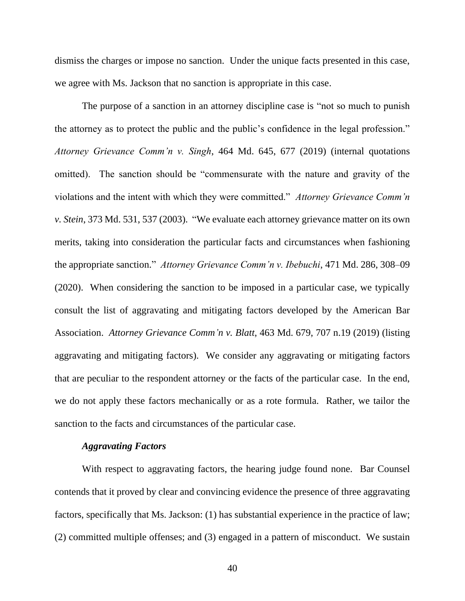dismiss the charges or impose no sanction. Under the unique facts presented in this case, we agree with Ms. Jackson that no sanction is appropriate in this case.

The purpose of a sanction in an attorney discipline case is "not so much to punish the attorney as to protect the public and the public's confidence in the legal profession." *Attorney Grievance Comm'n v. Singh*, 464 Md. 645, 677 (2019) (internal quotations omitted). The sanction should be "commensurate with the nature and gravity of the violations and the intent with which they were committed." *Attorney Grievance Comm'n v. Stein*, 373 Md. 531, 537 (2003). "We evaluate each attorney grievance matter on its own merits, taking into consideration the particular facts and circumstances when fashioning the appropriate sanction." *Attorney Grievance Comm'n v. Ibebuchi*, 471 Md. 286, 308–09 (2020). When considering the sanction to be imposed in a particular case, we typically consult the list of aggravating and mitigating factors developed by the American Bar Association. *Attorney [Grievance](https://1.next.westlaw.com/Link/Document/FullText?findType=Y&serNum=2048322644&pubNum=0000536&originatingDoc=Icecb48602b7c11ebbfb892f27fcef770&refType=RP&fi=co_pp_sp_536_707&originationContext=document&transitionType=DocumentItem&ppcid=01be4d18d9174b02a9b596847074445b&contextData=(sc.Default)#co_pp_sp_536_707) Comm'n v. Blatt*, 463 Md. 679, 707 n.19 (2019) (listing aggravating and mitigating factors). We consider any aggravating or mitigating factors that are peculiar to the respondent attorney or the facts of the particular case. In the end, we do not apply these factors mechanically or as a rote formula. Rather, we tailor the sanction to the facts and circumstances of the particular case.

### *Aggravating Factors*

With respect to aggravating factors, the hearing judge found none. Bar Counsel contends that it proved by clear and convincing evidence the presence of three aggravating factors, specifically that Ms. Jackson: (1) has substantial experience in the practice of law; (2) committed multiple offenses; and (3) engaged in a pattern of misconduct. We sustain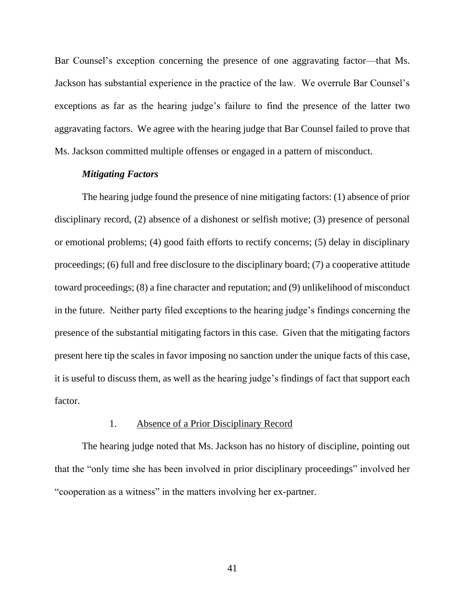Bar Counsel's exception concerning the presence of one aggravating factor—that Ms. Jackson has substantial experience in the practice of the law. We overrule Bar Counsel's exceptions as far as the hearing judge's failure to find the presence of the latter two aggravating factors. We agree with the hearing judge that Bar Counsel failed to prove that Ms. Jackson committed multiple offenses or engaged in a pattern of misconduct.

### *Mitigating Factors*

The hearing judge found the presence of nine mitigating factors: (1) absence of prior disciplinary record, (2) absence of a dishonest or selfish motive; (3) presence of personal or emotional problems; (4) good faith efforts to rectify concerns; (5) delay in disciplinary proceedings; (6) full and free disclosure to the disciplinary board; (7) a cooperative attitude toward proceedings; (8) a fine character and reputation; and (9) unlikelihood of misconduct in the future. Neither party filed exceptions to the hearing judge's findings concerning the presence of the substantial mitigating factors in this case. Given that the mitigating factors present here tip the scales in favor imposing no sanction under the unique facts of this case, it is useful to discuss them, as well as the hearing judge's findings of fact that support each factor.

### 1. Absence of a Prior Disciplinary Record

The hearing judge noted that Ms. Jackson has no history of discipline, pointing out that the "only time she has been involved in prior disciplinary proceedings" involved her "cooperation as a witness" in the matters involving her ex-partner.

41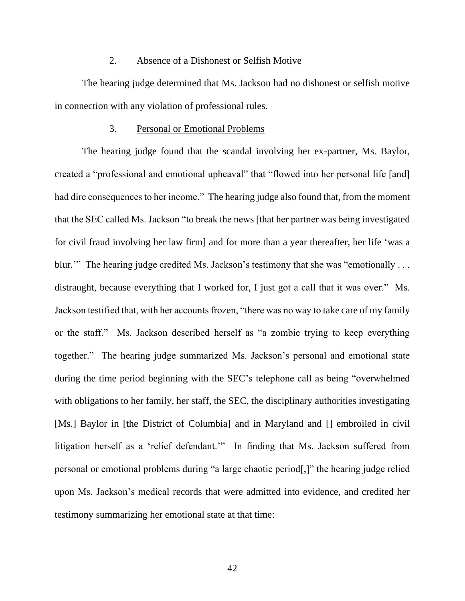### 2. Absence of a Dishonest or Selfish Motive

The hearing judge determined that Ms. Jackson had no dishonest or selfish motive in connection with any violation of professional rules.

### 3. Personal or Emotional Problems

The hearing judge found that the scandal involving her ex-partner, Ms. Baylor, created a "professional and emotional upheaval" that "flowed into her personal life [and] had dire consequences to her income." The hearing judge also found that, from the moment that the SEC called Ms. Jackson "to break the news [that her partner was being investigated for civil fraud involving her law firm] and for more than a year thereafter, her life 'was a blur." The hearing judge credited Ms. Jackson's testimony that she was "emotionally ... distraught, because everything that I worked for, I just got a call that it was over." Ms. Jackson testified that, with her accounts frozen, "there was no way to take care of my family or the staff." Ms. Jackson described herself as "a zombie trying to keep everything together." The hearing judge summarized Ms. Jackson's personal and emotional state during the time period beginning with the SEC's telephone call as being "overwhelmed with obligations to her family, her staff, the SEC, the disciplinary authorities investigating [Ms.] Baylor in [the District of Columbia] and in Maryland and [] embroiled in civil litigation herself as a 'relief defendant.'" In finding that Ms. Jackson suffered from personal or emotional problems during "a large chaotic period[,]" the hearing judge relied upon Ms. Jackson's medical records that were admitted into evidence, and credited her testimony summarizing her emotional state at that time: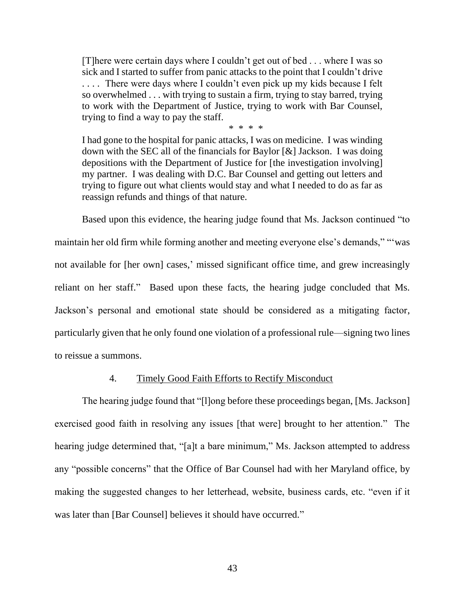[T]here were certain days where I couldn't get out of bed . . . where I was so sick and I started to suffer from panic attacks to the point that I couldn't drive .... There were days where I couldn't even pick up my kids because I felt so overwhelmed . . . with trying to sustain a firm, trying to stay barred, trying to work with the Department of Justice, trying to work with Bar Counsel, trying to find a way to pay the staff.

\* \* \* \*

I had gone to the hospital for panic attacks, I was on medicine. I was winding down with the SEC all of the financials for Baylor [&] Jackson. I was doing depositions with the Department of Justice for [the investigation involving] my partner. I was dealing with D.C. Bar Counsel and getting out letters and trying to figure out what clients would stay and what I needed to do as far as reassign refunds and things of that nature.

Based upon this evidence, the hearing judge found that Ms. Jackson continued "to maintain her old firm while forming another and meeting everyone else's demands," "'was not available for [her own] cases,' missed significant office time, and grew increasingly reliant on her staff." Based upon these facts, the hearing judge concluded that Ms. Jackson's personal and emotional state should be considered as a mitigating factor, particularly given that he only found one violation of a professional rule—signing two lines to reissue a summons.

### 4. Timely Good Faith Efforts to Rectify Misconduct

The hearing judge found that "[l]ong before these proceedings began, [Ms. Jackson] exercised good faith in resolving any issues [that were] brought to her attention." The hearing judge determined that, "[a]t a bare minimum," Ms. Jackson attempted to address any "possible concerns" that the Office of Bar Counsel had with her Maryland office, by making the suggested changes to her letterhead, website, business cards, etc. "even if it was later than [Bar Counsel] believes it should have occurred."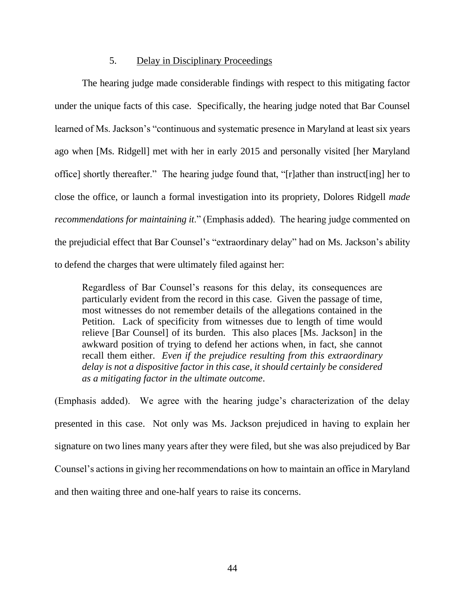### 5. Delay in Disciplinary Proceedings

The hearing judge made considerable findings with respect to this mitigating factor under the unique facts of this case. Specifically, the hearing judge noted that Bar Counsel learned of Ms. Jackson's "continuous and systematic presence in Maryland at least six years ago when [Ms. Ridgell] met with her in early 2015 and personally visited [her Maryland office] shortly thereafter." The hearing judge found that, "[r]ather than instruct[ing] her to close the office, or launch a formal investigation into its propriety, Dolores Ridgell *made recommendations for maintaining it*." (Emphasis added). The hearing judge commented on the prejudicial effect that Bar Counsel's "extraordinary delay" had on Ms. Jackson's ability to defend the charges that were ultimately filed against her:

Regardless of Bar Counsel's reasons for this delay, its consequences are particularly evident from the record in this case. Given the passage of time, most witnesses do not remember details of the allegations contained in the Petition. Lack of specificity from witnesses due to length of time would relieve [Bar Counsel] of its burden. This also places [Ms. Jackson] in the awkward position of trying to defend her actions when, in fact, she cannot recall them either. *Even if the prejudice resulting from this extraordinary delay is not a dispositive factor in this case, it should certainly be considered as a mitigating factor in the ultimate outcome*.

(Emphasis added). We agree with the hearing judge's characterization of the delay presented in this case. Not only was Ms. Jackson prejudiced in having to explain her signature on two lines many years after they were filed, but she was also prejudiced by Bar Counsel's actions in giving her recommendations on how to maintain an office in Maryland and then waiting three and one-half years to raise its concerns.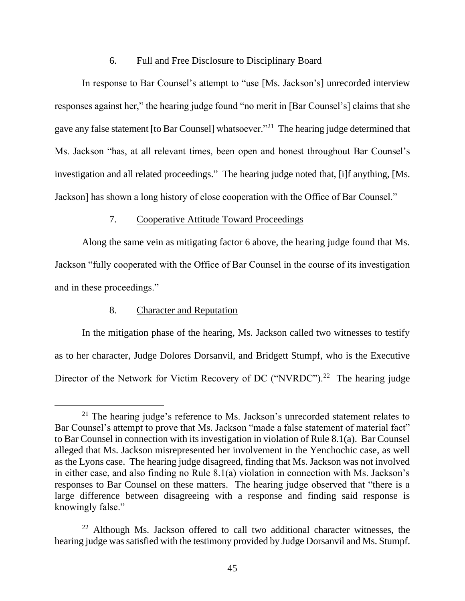### 6. Full and Free Disclosure to Disciplinary Board

In response to Bar Counsel's attempt to "use [Ms. Jackson's] unrecorded interview responses against her," the hearing judge found "no merit in [Bar Counsel's] claims that she gave any false statement [to Bar Counsel] whatsoever."<sup>21</sup> The hearing judge determined that Ms. Jackson "has, at all relevant times, been open and honest throughout Bar Counsel's investigation and all related proceedings." The hearing judge noted that, [i]f anything, [Ms. Jackson] has shown a long history of close cooperation with the Office of Bar Counsel."

### 7. Cooperative Attitude Toward Proceedings

Along the same vein as mitigating factor 6 above, the hearing judge found that Ms. Jackson "fully cooperated with the Office of Bar Counsel in the course of its investigation and in these proceedings."

### 8. Character and Reputation

In the mitigation phase of the hearing, Ms. Jackson called two witnesses to testify as to her character, Judge Dolores Dorsanvil, and Bridgett Stumpf, who is the Executive Director of the Network for Victim Recovery of DC ("NVRDC").<sup>22</sup> The hearing judge

<sup>&</sup>lt;sup>21</sup> The hearing judge's reference to Ms. Jackson's unrecorded statement relates to Bar Counsel's attempt to prove that Ms. Jackson "made a false statement of material fact" to Bar Counsel in connection with its investigation in violation of Rule 8.1(a). Bar Counsel alleged that Ms. Jackson misrepresented her involvement in the Yenchochic case, as well as the Lyons case. The hearing judge disagreed, finding that Ms. Jackson was not involved in either case, and also finding no Rule 8.1(a) violation in connection with Ms. Jackson's responses to Bar Counsel on these matters. The hearing judge observed that "there is a large difference between disagreeing with a response and finding said response is knowingly false."

 $22$  Although Ms. Jackson offered to call two additional character witnesses, the hearing judge was satisfied with the testimony provided by Judge Dorsanvil and Ms. Stumpf.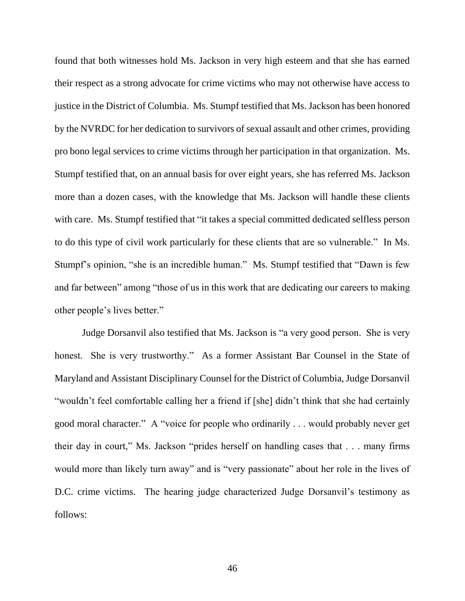found that both witnesses hold Ms. Jackson in very high esteem and that she has earned their respect as a strong advocate for crime victims who may not otherwise have access to justice in the District of Columbia. Ms. Stumpf testified that Ms. Jackson has been honored by the NVRDC for her dedication to survivors of sexual assault and other crimes, providing pro bono legal services to crime victims through her participation in that organization. Ms. Stumpf testified that, on an annual basis for over eight years, she has referred Ms. Jackson more than a dozen cases, with the knowledge that Ms. Jackson will handle these clients with care. Ms. Stumpf testified that "it takes a special committed dedicated selfless person to do this type of civil work particularly for these clients that are so vulnerable." In Ms. Stumpf's opinion, "she is an incredible human." Ms. Stumpf testified that "Dawn is few and far between" among "those of us in this work that are dedicating our careers to making other people's lives better."

Judge Dorsanvil also testified that Ms. Jackson is "a very good person. She is very honest. She is very trustworthy." As a former Assistant Bar Counsel in the State of Maryland and Assistant Disciplinary Counsel for the District of Columbia, Judge Dorsanvil "wouldn't feel comfortable calling her a friend if [she] didn't think that she had certainly good moral character." A "voice for people who ordinarily . . . would probably never get their day in court," Ms. Jackson "prides herself on handling cases that . . . many firms would more than likely turn away" and is "very passionate" about her role in the lives of D.C. crime victims. The hearing judge characterized Judge Dorsanvil's testimony as follows: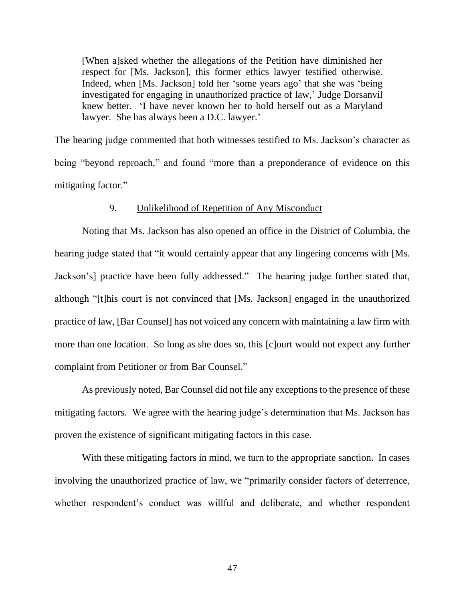[When a]sked whether the allegations of the Petition have diminished her respect for [Ms. Jackson], this former ethics lawyer testified otherwise. Indeed, when [Ms. Jackson] told her 'some years ago' that she was 'being investigated for engaging in unauthorized practice of law,' Judge Dorsanvil knew better. 'I have never known her to hold herself out as a Maryland lawyer. She has always been a D.C. lawyer.'

The hearing judge commented that both witnesses testified to Ms. Jackson's character as being "beyond reproach," and found "more than a preponderance of evidence on this mitigating factor."

### 9. Unlikelihood of Repetition of Any Misconduct

Noting that Ms. Jackson has also opened an office in the District of Columbia, the hearing judge stated that "it would certainly appear that any lingering concerns with [Ms. Jackson's] practice have been fully addressed." The hearing judge further stated that, although "[t]his court is not convinced that [Ms. Jackson] engaged in the unauthorized practice of law, [Bar Counsel] has not voiced any concern with maintaining a law firm with more than one location. So long as she does so, this [c]ourt would not expect any further complaint from Petitioner or from Bar Counsel."

As previously noted, Bar Counsel did not file any exceptions to the presence of these mitigating factors. We agree with the hearing judge's determination that Ms. Jackson has proven the existence of significant mitigating factors in this case.

With these mitigating factors in mind, we turn to the appropriate sanction. In cases involving the unauthorized practice of law, we "primarily consider factors of deterrence, whether respondent's conduct was willful and deliberate, and whether respondent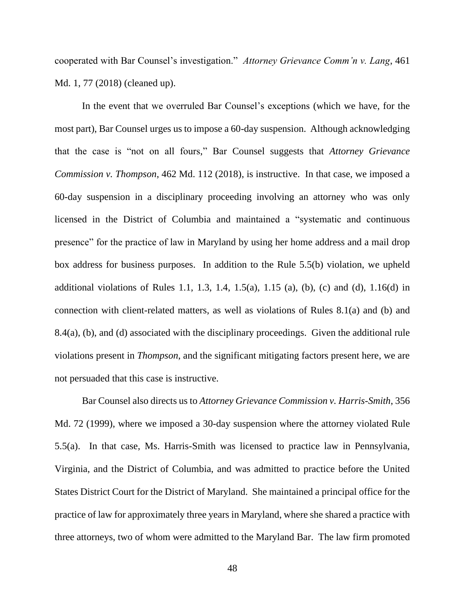cooperated with Bar Counsel's investigation." *Attorney Grievance Comm'n v. Lang*, 461 Md. 1, 77 (2018) (cleaned up).

In the event that we overruled Bar Counsel's exceptions (which we have, for the most part), Bar Counsel urges us to impose a 60-day suspension. Although acknowledging that the case is "not on all fours," Bar Counsel suggests that *Attorney Grievance Commission v. Thompson*, 462 Md. 112 (2018), is instructive. In that case, we imposed a 60-day suspension in a disciplinary proceeding involving an attorney who was only licensed in the District of Columbia and maintained a "systematic and continuous presence" for the practice of law in Maryland by using her home address and a mail drop box address for business purposes. In addition to the Rule 5.5(b) violation, we upheld additional violations of Rules 1.1, 1.3, 1.4, 1.5(a), 1.15 (a), (b), (c) and (d),  $1.16(d)$  in connection with client-related matters, as well as violations of Rules 8.1(a) and (b) and 8.4(a), (b), and (d) associated with the disciplinary proceedings. Given the additional rule violations present in *Thompson*, and the significant mitigating factors present here, we are not persuaded that this case is instructive.

Bar Counsel also directs us to *Attorney Grievance Commission v. Harris-Smith*, 356 Md. 72 (1999), where we imposed a 30-day suspension where the attorney violated Rule 5.5(a). In that case, Ms. Harris-Smith was licensed to practice law in Pennsylvania, Virginia, and the District of Columbia, and was admitted to practice before the United States District Court for the District of Maryland. She maintained a principal office for the practice of law for approximately three years in Maryland, where she shared a practice with three attorneys, two of whom were admitted to the Maryland Bar. The law firm promoted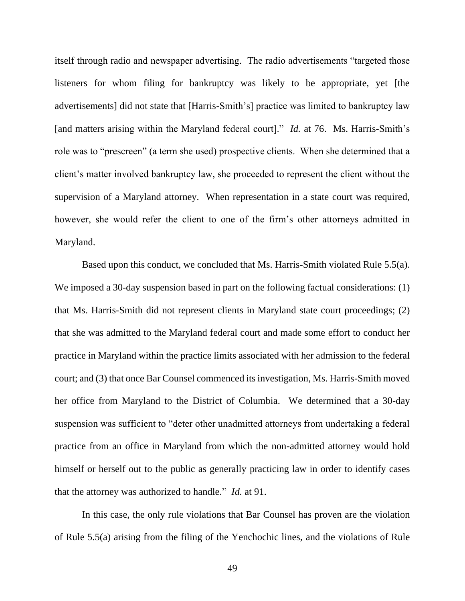itself through radio and newspaper advertising. The radio advertisements "targeted those listeners for whom filing for bankruptcy was likely to be appropriate, yet [the advertisements] did not state that [Harris-Smith's] practice was limited to bankruptcy law [and matters arising within the Maryland federal court]." *Id.* at 76. Ms. Harris-Smith's role was to "prescreen" (a term she used) prospective clients. When she determined that a client's matter involved bankruptcy law, she proceeded to represent the client without the supervision of a Maryland attorney. When representation in a state court was required, however, she would refer the client to one of the firm's other attorneys admitted in Maryland.

Based upon this conduct, we concluded that Ms. Harris-Smith violated Rule 5.5(a). We imposed a 30-day suspension based in part on the following factual considerations: (1) that Ms. Harris-Smith did not represent clients in Maryland state court proceedings; (2) that she was admitted to the Maryland federal court and made some effort to conduct her practice in Maryland within the practice limits associated with her admission to the federal court; and (3) that once Bar Counsel commenced its investigation, Ms. Harris-Smith moved her office from Maryland to the District of Columbia. We determined that a 30-day suspension was sufficient to "deter other unadmitted attorneys from undertaking a federal practice from an office in Maryland from which the non-admitted attorney would hold himself or herself out to the public as generally practicing law in order to identify cases that the attorney was authorized to handle." *Id.* at 91.

In this case, the only rule violations that Bar Counsel has proven are the violation of Rule 5.5(a) arising from the filing of the Yenchochic lines, and the violations of Rule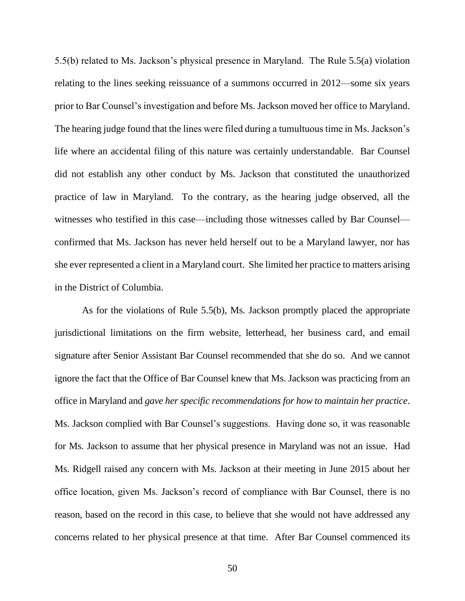5.5(b) related to Ms. Jackson's physical presence in Maryland. The Rule 5.5(a) violation relating to the lines seeking reissuance of a summons occurred in 2012—some six years prior to Bar Counsel's investigation and before Ms. Jackson moved her office to Maryland. The hearing judge found that the lines were filed during a tumultuous time in Ms. Jackson's life where an accidental filing of this nature was certainly understandable. Bar Counsel did not establish any other conduct by Ms. Jackson that constituted the unauthorized practice of law in Maryland. To the contrary, as the hearing judge observed, all the witnesses who testified in this case—including those witnesses called by Bar Counsel confirmed that Ms. Jackson has never held herself out to be a Maryland lawyer, nor has she ever represented a client in a Maryland court. She limited her practice to matters arising in the District of Columbia.

As for the violations of Rule 5.5(b), Ms. Jackson promptly placed the appropriate jurisdictional limitations on the firm website, letterhead, her business card, and email signature after Senior Assistant Bar Counsel recommended that she do so. And we cannot ignore the fact that the Office of Bar Counsel knew that Ms. Jackson was practicing from an office in Maryland and *gave her specific recommendations for how to maintain her practice*. Ms. Jackson complied with Bar Counsel's suggestions. Having done so, it was reasonable for Ms. Jackson to assume that her physical presence in Maryland was not an issue. Had Ms. Ridgell raised any concern with Ms. Jackson at their meeting in June 2015 about her office location, given Ms. Jackson's record of compliance with Bar Counsel, there is no reason, based on the record in this case, to believe that she would not have addressed any concerns related to her physical presence at that time. After Bar Counsel commenced its